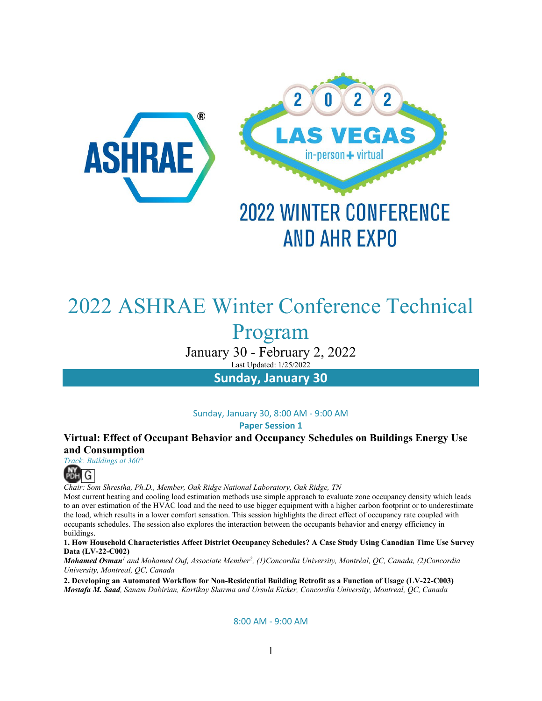

# 2022 ASHRAE Winter Conference Technical

Program

January 30 - February 2, 2022 Last Updated: 1/25/2022

**Sunday, January 30**

Sunday, January 30, 8:00 AM - 9:00 AM **Paper Session 1** 

**Virtual: Effect of Occupant Behavior and Occupancy Schedules on Buildings Energy Use and Consumption**

*Track: Buildings at 360°*



*Chair: Som Shrestha, Ph.D., Member, Oak Ridge National Laboratory, Oak Ridge, TN*

Most current heating and cooling load estimation methods use simple approach to evaluate zone occupancy density which leads to an over estimation of the HVAC load and the need to use bigger equipment with a higher carbon footprint or to underestimate the load, which results in a lower comfort sensation. This session highlights the direct effect of occupancy rate coupled with occupants schedules. The session also explores the interaction between the occupants behavior and energy efficiency in buildings.

**1. How Household Characteristics Affect District Occupancy Schedules? A Case Study Using Canadian Time Use Survey Data (LV-22-C002)**

*Mohamed Osman<sup>1</sup> and Mohamed Ouf, Associate Member2, (1)Concordia University, Montréal, QC, Canada, (2)Concordia University, Montreal, QC, Canada*

**2. Developing an Automated Workflow for Non-Residential Building Retrofit as a Function of Usage (LV-22-C003)** *Mostafa M. Saad, Sanam Dabirian, Kartikay Sharma and Ursula Eicker, Concordia University, Montreal, QC, Canada*

8:00 AM - 9:00 AM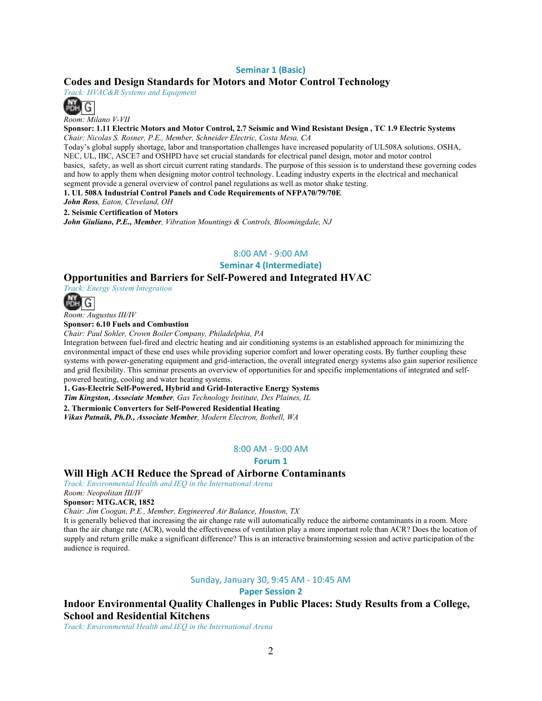### **Seminar 1 (Basic)**

### **Codes and Design Standards for Motors and Motor Control Technology**

*Track: HVAC&R Systems and Equipment*



*Room: Milano V-VII*

**Sponsor: 1.11 Electric Motors and Motor Control, 2.7 Seismic and Wind Resistant Design , TC 1.9 Electric Systems** 

*Chair: Nicolas S. Rosner, P.E., Member, Schneider Electric, Costa Mesa, CA*

Today's global supply shortage, labor and transportation challenges have increased popularity of UL508A solutions. OSHA, NEC, UL, IBC, ASCE7 and OSHPD have set crucial standards for electrical panel design, motor and motor control basics, safety, as well as short circuit current rating standards. The purpose of this session is to understand these governing codes and how to apply them when designing motor control technology. Leading industry experts in the electrical and mechanical segment provide a general overview of control panel regulations as well as motor shake testing.

**1. UL 508A Industrial Control Panels and Code Requirements of NFPA70/79/70E**

*John Ross, Eaton, Cleveland, OH*

**2. Seismic Certification of Motors**

*John Giuliano, P.E., Member, Vibration Mountings & Controls, Bloomingdale, NJ*

### 8:00 AM - 9:00 AM

**Seminar 4 (Intermediate)**

### **Opportunities and Barriers for Self-Powered and Integrated HVAC**



*Room: Augustus III/IV*

**Sponsor: 6.10 Fuels and Combustion**

*Chair: Paul Sohler, Crown Boiler Company, Philadelphia, PA*

Integration between fuel-fired and electric heating and air conditioning systems is an established approach for minimizing the environmental impact of these end uses while providing superior comfort and lower operating costs. By further coupling these systems with power-generating equipment and grid-interaction, the overall integrated energy systems also gain superior resilience and grid flexibility. This seminar presents an overview of opportunities for and specific implementations of integrated and selfpowered heating, cooling and water heating systems.

**1. Gas-Electric Self-Powered, Hybrid and Grid-Interactive Energy Systems**

*Tim Kingston, Associate Member, Gas Technology Institute, Des Plaines, IL*

**2. Thermionic Converters for Self-Powered Residential Heating**

*Vikas Patnaik, Ph.D., Associate Member, Modern Electron, Bothell, WA*

#### 8:00 AM - 9:00 AM

**Forum 1** 

### **Will High ACH Reduce the Spread of Airborne Contaminants**

*Track: Environmental Health and IEQ in the International Arena*

*Room: Neopolitan III/IV* **Sponsor: MTG.ACR, 1852** 

*Chair: Jim Coogan, P.E., Member, Engineered Air Balance, Houston, TX*

It is generally believed that increasing the air change rate will automatically reduce the airborne contaminants in a room. More than the air change rate (ACR), would the effectiveness of ventilation play a more important role than ACR? Does the location of supply and return grille make a significant difference? This is an interactive brainstorming session and active participation of the audience is required.

Sunday, January 30, 9:45 AM - 10:45 AM

**Paper Session 2** 

### **Indoor Environmental Quality Challenges in Public Places: Study Results from a College, School and Residential Kitchens**

*Track: Environmental Health and IEQ in the International Arena*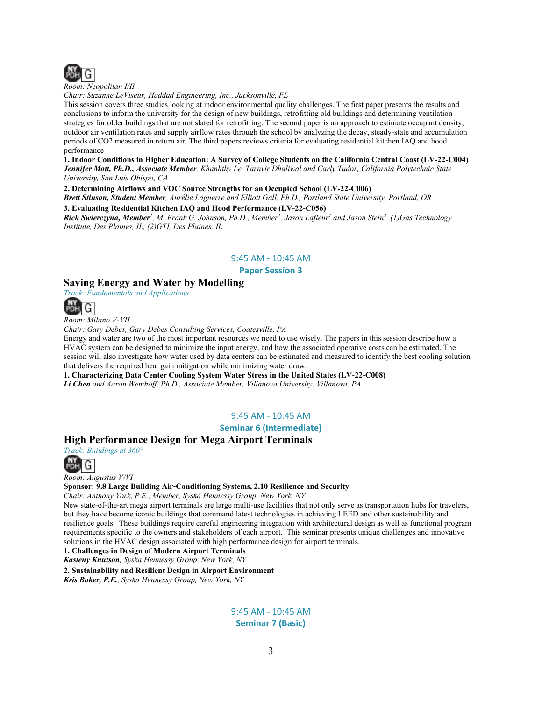

*Room: Neopolitan I/II*

*Chair: Suzanne LeViseur, Haddad Engineering, Inc., Jacksonville, FL*

This session covers three studies looking at indoor environmental quality challenges. The first paper presents the results and conclusions to inform the university for the design of new buildings, retrofitting old buildings and determining ventilation strategies for older buildings that are not slated for retrofitting. The second paper is an approach to estimate occupant density, outdoor air ventilation rates and supply airflow rates through the school by analyzing the decay, steady-state and accumulation periods of CO2 measured in return air. The third papers reviews criteria for evaluating residential kitchen IAQ and hood performance

#### **1. Indoor Conditions in Higher Education: A Survey of College Students on the California Central Coast (LV-22-C004)** *Jennifer Mott, Ph.D., Associate Member, Khanhthy Le, Tarnvir Dhaliwal and Carly Tudor, California Polytechnic State University, San Luis Obispo, CA*

**2. Determining Airflows and VOC Source Strengths for an Occupied School (LV-22-C006)**

*Brett Stinson, Student Member, Aurélie Laguerre and Elliott Gall, Ph.D., Portland State University, Portland, OR*

**3. Evaluating Residential Kitchen IAQ and Hood Performance (LV-22-C056)**

*Rich Swierczyna, Member1, M. Frank G. Johnson, Ph.D., Member1, Jason Lafleur1 and Jason Stein2, (1)Gas Technology Institute, Des Plaines, IL, (2)GTI, Des Plaines, IL*

#### 9:45 AM - 10:45 AM

**Paper Session 3** 

### **Saving Energy and Water by Modelling**

*Track: Fundamentals and Applications*



*Room: Milano V-VII*

*Chair: Gary Debes, Gary Debes Consulting Services, Coatesville, PA*

Energy and water are two of the most important resources we need to use wisely. The papers in this session describe how a HVAC system can be designed to minimize the input energy, and how the associated operative costs can be estimated. The session will also investigate how water used by data centers can be estimated and measured to identify the best cooling solution that delivers the required heat gain mitigation while minimizing water draw.

**1. Characterizing Data Center Cooling System Water Stress in the United States (LV-22-C008)**

*Li Chen and Aaron Wemhoff, Ph.D., Associate Member, Villanova University, Villanova, PA*

### 9:45 AM - 10:45 AM

### **Seminar 6 (Intermediate)**

### **High Performance Design for Mega Airport Terminals**



*Room: Augustus V/VI*

#### **Sponsor: 9.8 Large Building Air-Conditioning Systems, 2.10 Resilience and Security**

*Chair: Anthony York, P.E., Member, Syska Hennessy Group, New York, NY*

New state-of-the-art mega airport terminals are large multi-use facilities that not only serve as transportation hubs for travelers, but they have become iconic buildings that command latest technologies in achieving LEED and other sustainability and resilience goals. These buildings require careful engineering integration with architectural design as well as functional program requirements specific to the owners and stakeholders of each airport. This seminar presents unique challenges and innovative solutions in the HVAC design associated with high performance design for airport terminals.

**1. Challenges in Design of Modern Airport Terminals**

*Kasteny Knutson, Syska Hennessy Group, New York, NY*

**2. Sustainability and Resilient Design in Airport Environment** *Kris Baker, P.E., Syska Hennessy Group, New York, NY*

> 9:45 AM - 10:45 AM **Seminar 7 (Basic)**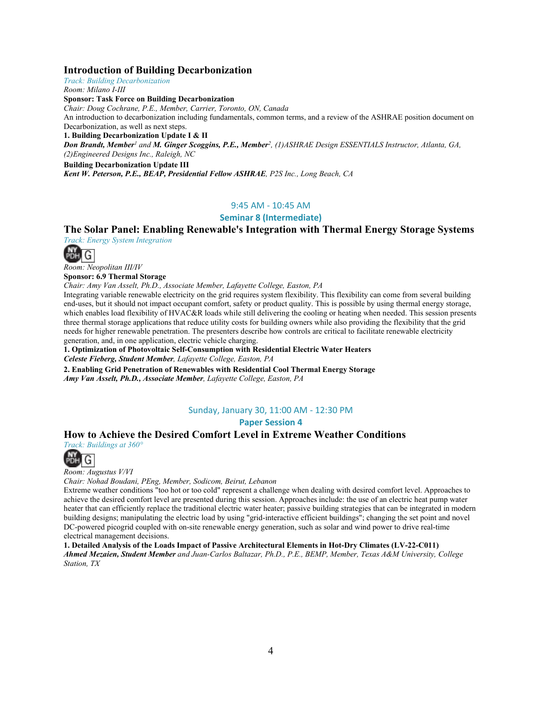### **Introduction of Building Decarbonization**

*Track: Building Decarbonization Room: Milano I-III*

**Sponsor: Task Force on Building Decarbonization** 

*Chair: Doug Cochrane, P.E., Member, Carrier, Toronto, ON, Canada* An introduction to decarbonization including fundamentals, common terms, and a review of the ASHRAE position document on Decarbonization, as well as next steps. **1. Building Decarbonization Update I & II** *Don Brandt, Member<sup>1</sup> and M. Ginger Scoggins, P.E., Member2, (1)ASHRAE Design ESSENTIALS Instructor, Atlanta, GA, (2)Engineered Designs Inc., Raleigh, NC* **Building Decarbonization Update III** *Kent W. Peterson, P.E., BEAP, Presidential Fellow ASHRAE, P2S Inc., Long Beach, CA*

### 9:45 AM - 10:45 AM

### **Seminar 8 (Intermediate)**

### **The Solar Panel: Enabling Renewable's Integration with Thermal Energy Storage Systems**

*Track: Energy System Integration*



*Room: Neopolitan III/IV*

**Sponsor: 6.9 Thermal Storage**

*Chair: Amy Van Asselt, Ph.D., Associate Member, Lafayette College, Easton, PA*

Integrating variable renewable electricity on the grid requires system flexibility. This flexibility can come from several building end-uses, but it should not impact occupant comfort, safety or product quality. This is possible by using thermal energy storage, which enables load flexibility of HVAC&R loads while still delivering the cooling or heating when needed. This session presents three thermal storage applications that reduce utility costs for building owners while also providing the flexibility that the grid needs for higher renewable penetration. The presenters describe how controls are critical to facilitate renewable electricity generation, and, in one application, electric vehicle charging.

**1. Optimization of Photovoltaic Self-Consumption with Residential Electric Water Heaters** *Celeste Fieberg, Student Member, Lafayette College, Easton, PA*

**2. Enabling Grid Penetration of Renewables with Residential Cool Thermal Energy Storage** *Amy Van Asselt, Ph.D., Associate Member, Lafayette College, Easton, PA*

### Sunday, January 30, 11:00 AM - 12:30 PM

### **Paper Session 4**

### **How to Achieve the Desired Comfort Level in Extreme Weather Conditions**

*Track: Buildings at 360°*



*Room: Augustus V/VI*

*Chair: Nohad Boudani, PEng, Member, Sodicom, Beirut, Lebanon*

Extreme weather conditions "too hot or too cold" represent a challenge when dealing with desired comfort level. Approaches to achieve the desired comfort level are presented during this session. Approaches include: the use of an electric heat pump water heater that can efficiently replace the traditional electric water heater; passive building strategies that can be integrated in modern building designs; manipulating the electric load by using "grid-interactive efficient buildings"; changing the set point and novel DC-powered picogrid coupled with on-site renewable energy generation, such as solar and wind power to drive real-time electrical management decisions.

**1. Detailed Analysis of the Loads Impact of Passive Architectural Elements in Hot-Dry Climates (LV-22-C011)** *Ahmed Mezaien, Student Member and Juan-Carlos Baltazar, Ph.D., P.E., BEMP, Member, Texas A&M University, College Station, TX*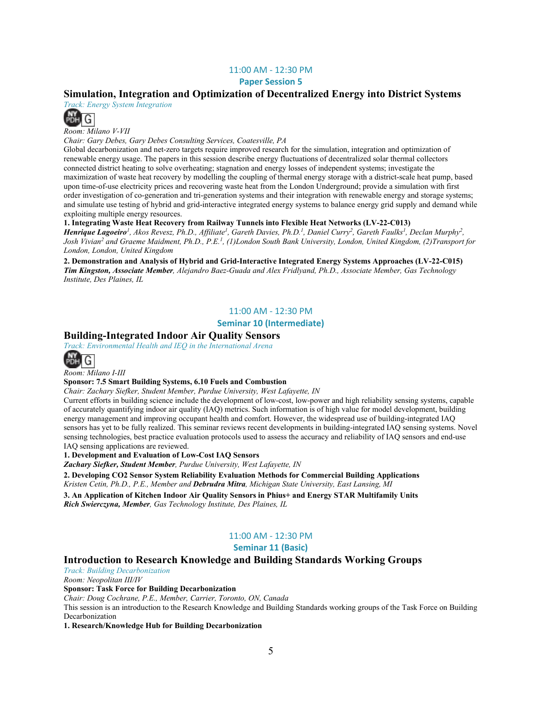### 11:00 AM - 12:30 PM

**Paper Session 5** 

### **Simulation, Integration and Optimization of Decentralized Energy into District Systems**

*Track: Energy System Integration*



*Room: Milano V-VII*

*Chair: Gary Debes, Gary Debes Consulting Services, Coatesville, PA*

Global decarbonization and net-zero targets require improved research for the simulation, integration and optimization of renewable energy usage. The papers in this session describe energy fluctuations of decentralized solar thermal collectors connected district heating to solve overheating; stagnation and energy losses of independent systems; investigate the maximization of waste heat recovery by modelling the coupling of thermal energy storage with a district-scale heat pump, based upon time-of-use electricity prices and recovering waste heat from the London Underground; provide a simulation with first order investigation of co-generation and tri-generation systems and their integration with renewable energy and storage systems; and simulate use testing of hybrid and grid-interactive integrated energy systems to balance energy grid supply and demand while exploiting multiple energy resources.

### **1. Integrating Waste Heat Recovery from Railway Tunnels into Flexible Heat Networks (LV-22-C013)**

*Henrique Lagoeiro<sup>1</sup>, Akos Revesz, Ph.D., Affiliate<sup>1</sup>, Gareth Davies, Ph.D.<sup>1</sup>, Daniel Curry<sup>2</sup>, Gareth Faulks<sup>1</sup>, Declan Murphy<sup>2</sup>, Josh Vivian2 and Graeme Maidment, Ph.D., P.E.1, (1)London South Bank University, London, United Kingdom, (2)Transport for London, London, United Kingdom*

**2. Demonstration and Analysis of Hybrid and Grid-Interactive Integrated Energy Systems Approaches (LV-22-C015)** *Tim Kingston, Associate Member, Alejandro Baez-Guada and Alex Fridlyand, Ph.D., Associate Member, Gas Technology Institute, Des Plaines, IL*

### 11:00 AM - 12:30 PM

### **Seminar 10 (Intermediate)**

### **Building-Integrated Indoor Air Quality Sensors**

*Track: Environmental Health and IEQ in the International Arena*



*Room: Milano I-III*

#### **Sponsor: 7.5 Smart Building Systems, 6.10 Fuels and Combustion**

*Chair: Zachary Siefker, Student Member, Purdue University, West Lafayette, IN*

Current efforts in building science include the development of low-cost, low-power and high reliability sensing systems, capable of accurately quantifying indoor air quality (IAQ) metrics. Such information is of high value for model development, building energy management and improving occupant health and comfort. However, the widespread use of building-integrated IAQ sensors has yet to be fully realized. This seminar reviews recent developments in building-integrated IAQ sensing systems. Novel sensing technologies, best practice evaluation protocols used to assess the accuracy and reliability of IAQ sensors and end-use IAQ sensing applications are reviewed.

**1. Development and Evaluation of Low-Cost IAQ Sensors**

*Zachary Siefker, Student Member, Purdue University, West Lafayette, IN*

**2. Developing CO2 Sensor System Reliability Evaluation Methods for Commercial Building Applications** *Kristen Cetin, Ph.D., P.E., Member and Debrudra Mitra, Michigan State University, East Lansing, MI*

**3. An Application of Kitchen Indoor Air Quality Sensors in Phius+ and Energy STAR Multifamily Units** *Rich Swierczyna, Member, Gas Technology Institute, Des Plaines, IL*

### 11:00 AM - 12:30 PM

### **Seminar 11 (Basic)**

### **Introduction to Research Knowledge and Building Standards Working Groups**

*Track: Building Decarbonization*

*Room: Neopolitan III/IV*

**Sponsor: Task Force for Building Decarbonization** 

*Chair: Doug Cochrane, P.E., Member, Carrier, Toronto, ON, Canada*

This session is an introduction to the Research Knowledge and Building Standards working groups of the Task Force on Building Decarbonization

**1. Research/Knowledge Hub for Building Decarbonization**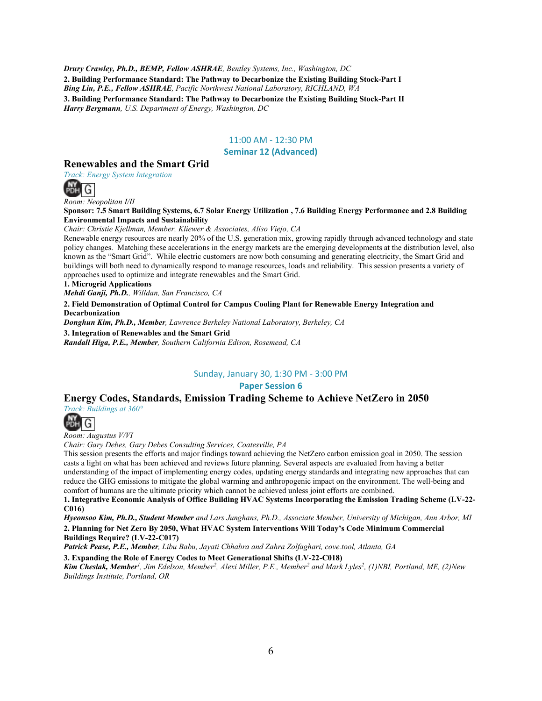*Drury Crawley, Ph.D., BEMP, Fellow ASHRAE, Bentley Systems, Inc., Washington, DC* **2. Building Performance Standard: The Pathway to Decarbonize the Existing Building Stock-Part I** *Bing Liu, P.E., Fellow ASHRAE, Pacific Northwest National Laboratory, RICHLAND, WA* **3. Building Performance Standard: The Pathway to Decarbonize the Existing Building Stock-Part II** *Harry Bergmann, U.S. Department of Energy, Washington, DC*

### 11:00 AM - 12:30 PM

### **Seminar 12 (Advanced)**

### **Renewables and the Smart Grid**

*Track: Energy System Integration*



*Room: Neopolitan I/II*

**Sponsor: 7.5 Smart Building Systems, 6.7 Solar Energy Utilization , 7.6 Building Energy Performance and 2.8 Building Environmental Impacts and Sustainability** 

*Chair: Christie Kjellman, Member, Kliewer & Associates, Aliso Viejo, CA*

Renewable energy resources are nearly 20% of the U.S. generation mix, growing rapidly through advanced technology and state policy changes. Matching these accelerations in the energy markets are the emerging developments at the distribution level, also known as the "Smart Grid". While electric customers are now both consuming and generating electricity, the Smart Grid and buildings will both need to dynamically respond to manage resources, loads and reliability. This session presents a variety of approaches used to optimize and integrate renewables and the Smart Grid.

**1. Microgrid Applications**

*Mehdi Ganji, Ph.D., Willdan, San Francisco, CA*

**2. Field Demonstration of Optimal Control for Campus Cooling Plant for Renewable Energy Integration and Decarbonization**

*Donghun Kim, Ph.D., Member, Lawrence Berkeley National Laboratory, Berkeley, CA*

**3. Integration of Renewables and the Smart Grid** *Randall Higa, P.E., Member, Southern California Edison, Rosemead, CA*

#### Sunday, January 30, 1:30 PM - 3:00 PM

### **Paper Session 6**

### **Energy Codes, Standards, Emission Trading Scheme to Achieve NetZero in 2050**

*Track: Buildings at 360°*



*Room: Augustus V/VI*

*Chair: Gary Debes, Gary Debes Consulting Services, Coatesville, PA*

This session presents the efforts and major findings toward achieving the NetZero carbon emission goal in 2050. The session casts a light on what has been achieved and reviews future planning. Several aspects are evaluated from having a better understanding of the impact of implementing energy codes, updating energy standards and integrating new approaches that can reduce the GHG emissions to mitigate the global warming and anthropogenic impact on the environment. The well-being and comfort of humans are the ultimate priority which cannot be achieved unless joint efforts are combined.

**1. Integrative Economic Analysis of Office Building HVAC Systems Incorporating the Emission Trading Scheme (LV-22- C016)**

*Hyeonsoo Kim, Ph.D., Student Member and Lars Junghans, Ph.D., Associate Member, University of Michigan, Ann Arbor, MI* **2. Planning for Net Zero By 2050, What HVAC System Interventions Will Today's Code Minimum Commercial Buildings Require? (LV-22-C017)**

*Patrick Pease, P.E., Member, Libu Babu, Jayati Chhabra and Zahra Zolfaghari, cove.tool, Atlanta, GA*

**3. Expanding the Role of Energy Codes to Meet Generational Shifts (LV-22-C018)**

*Kim Cheslak, Member1, Jim Edelson, Member2, Alexi Miller, P.E., Member2 and Mark Lyles2, (1)NBI, Portland, ME, (2)New Buildings Institute, Portland, OR*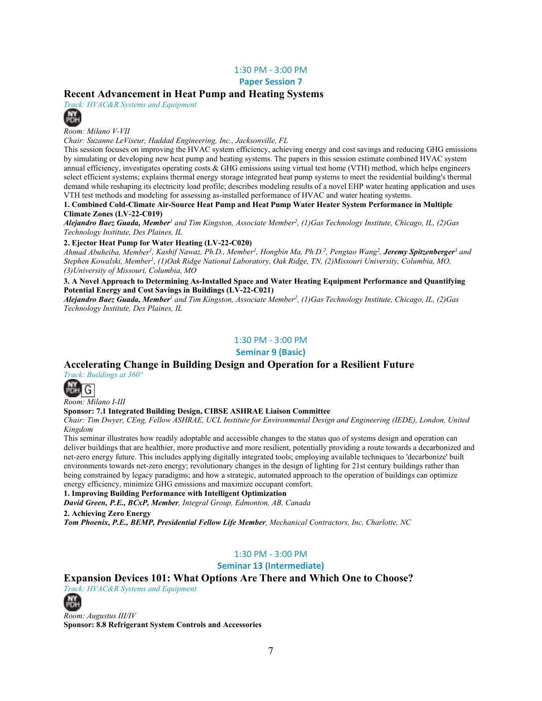### 1:30 PM - 3:00 PM

**Paper Session 7** 

### **Recent Advancement in Heat Pump and Heating Systems**

*Track: HVAC&R Systems and Equipment*



*Room: Milano V-VII*

*Chair: Suzanne LeViseur, Haddad Engineering, Inc., Jacksonville, FL*

This session focuses on improving the HVAC system efficiency, achieving energy and cost savings and reducing GHG emissions by simulating or developing new heat pump and heating systems. The papers in this session estimate combined HVAC system annual efficiency, investigates operating costs & GHG emissions using virtual test home (VTH) method, which helps engineers select efficient systems; explains thermal energy storage integrated heat pump systems to meet the residential building's thermal demand while reshaping its electricity load profile; describes modeling results of a novel EHP water heating application and uses VTH test methods and modeling for assessing as-installed performance of HVAC and water heating systems.

**1. Combined Cold-Climate Air-Source Heat Pump and Heat Pump Water Heater System Performance in Multiple Climate Zones (LV-22-C019)**

*Alejandro Baez Guada, Member<sup>1</sup> and Tim Kingston, Associate Member2, (1)Gas Technology Institute, Chicago, IL, (2)Gas Technology Institute, Des Plaines, IL*

#### **2. Ejector Heat Pump for Water Heating (LV-22-C020)**

*Ahmad Abuheiba, Member1, Kashif Nawaz, Ph.D., Member1, Hongbin Ma, Ph.D. 2, Pengtao Wang2, Jeremy Spitzenberger<sup>3</sup> and Stephen Kowalski, Member1, (1)Oak Ridge National Laboratory, Oak Ridge, TN, (2)Missouri University, Columbia, MO, (3)University of Missouri, Columbia, MO*

**3. A Novel Approach to Determining As-Installed Space and Water Heating Equipment Performance and Quantifying Potential Energy and Cost Savings in Buildings (LV-22-C021)**

*Alejandro Baez Guada, Member<sup>1</sup> and Tim Kingston, Associate Member2, (1)Gas Technology Institute, Chicago, IL, (2)Gas Technology Institute, Des Plaines, IL*

### 1:30 PM - 3:00 PM

**Seminar 9 (Basic)**

### **Accelerating Change in Building Design and Operation for a Resilient Future**

*Track: Buildings at 360°*



*Room: Milano I-III*

#### **Sponsor: 7.1 Integrated Building Design, CIBSE ASHRAE Liaison Committee**

*Chair: Tim Dwyer, CEng, Fellow ASHRAE, UCL Institute for Environmental Design and Engineering (IEDE), London, United Kingdom*

This seminar illustrates how readily adoptable and accessible changes to the status quo of systems design and operation can deliver buildings that are healthier, more productive and more resilient, potentially providing a route towards a decarbonized and net-zero energy future. This includes applying digitally integrated tools; employing available techniques to 'decarbonize' built environments towards net-zero energy; revolutionary changes in the design of lighting for 21st century buildings rather than being constrained by legacy paradigms; and how a strategic, automated approach to the operation of buildings can optimize energy efficiency, minimize GHG emissions and maximize occupant comfort.

#### **1. Improving Building Performance with Intelligent Optimization**

*David Green, P.E., BCxP, Member, Integral Group, Edmonton, AB, Canada*

**2. Achieving Zero Energy**

*Tom Phoenix, P.E., BEMP, Presidential Fellow Life Member, Mechanical Contractors, Inc, Charlotte, NC*

### 1:30 PM - 3:00 PM

**Seminar 13 (Intermediate)**

### **Expansion Devices 101: What Options Are There and Which One to Choose?**

*Track: HVAC&R Systems and Equipment*



*Room: Augustus III/IV* **Sponsor: 8.8 Refrigerant System Controls and Accessories**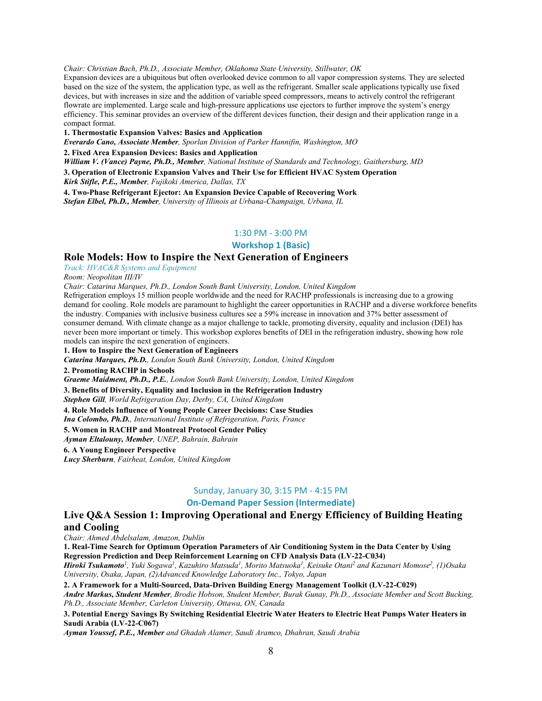*Chair: Christian Bach, Ph.D., Associate Member, Oklahoma State University, Stillwater, OK*

Expansion devices are a ubiquitous but often overlooked device common to all vapor compression systems. They are selected based on the size of the system, the application type, as well as the refrigerant. Smaller scale applications typically use fixed devices, but with increases in size and the addition of variable speed compressors, means to actively control the refrigerant flowrate are implemented. Large scale and high-pressure applications use ejectors to further improve the system's energy efficiency. This seminar provides an overview of the different devices function, their design and their application range in a compact format.

**1. Thermostatic Expansion Valves: Basics and Application**

*Everardo Cano, Associate Member, Sporlan Division of Parker Hannifin, Washington, MO*

**2. Fixed Area Expansion Devices: Basics and Application**

*William V. (Vance) Payne, Ph.D., Member, National Institute of Standards and Technology, Gaithersburg, MD*

**3. Operation of Electronic Expansion Valves and Their Use for Efficient HVAC System Operation**

*Kirk Stifle, P.E., Member, Fujikoki America, Dallas, TX*

**4. Two-Phase Refrigerant Ejector: An Expansion Device Capable of Recovering Work**

*Stefan Elbel, Ph.D., Member, University of Illinois at Urbana-Champaign, Urbana, IL*

### 1:30 PM - 3:00 PM

**Workshop 1 (Basic)**

### **Role Models: How to Inspire the Next Generation of Engineers**

*Track: HVAC&R Systems and Equipment*

*Room: Neopolitan III/IV*

*Chair: Catarina Marques, Ph.D., London South Bank University, London, United Kingdom*

Refrigeration employs 15 million people worldwide and the need for RACHP professionals is increasing due to a growing demand for cooling. Role models are paramount to highlight the career opportunities in RACHP and a diverse workforce benefits the industry. Companies with inclusive business cultures see a 59% increase in innovation and 37% better assessment of consumer demand. With climate change as a major challenge to tackle, promoting diversity, equality and inclusion (DEI) has never been more important or timely. This workshop explores benefits of DEI in the refrigeration industry, showing how role models can inspire the next generation of engineers.

**1. How to Inspire the Next Generation of Engineers** 

*Catarina Marques, Ph.D., London South Bank University, London, United Kingdom*

**2. Promoting RACHP in Schools**

*Graeme Maidment, Ph.D., P.E., London South Bank University, London, United Kingdom*

**3. Benefits of Diversity, Equality and Inclusion in the Refrigeration Industry**

*Stephen Gill, World Refrigeration Day, Derby, CA, United Kingdom*

**4. Role Models Influence of Young People Career Decisions: Case Studies**

*Ina Colombo, Ph.D., International Institute of Refrigeration, Paris, France*

### **5. Women in RACHP and Montreal Protocol Gender Policy**

*Ayman Eltalouny, Member, UNEP, Bahrain, Bahrain*

**6. A Young Engineer Perspective**

*Lucy Sherburn, Fairheat, London, United Kingdom*

### Sunday, January 30, 3:15 PM - 4:15 PM

### **On-Demand Paper Session (Intermediate)**

### **Live Q&A Session 1: Improving Operational and Energy Efficiency of Building Heating and Cooling**

*Chair: Ahmed Abdelsalam, Amazon, Dublin*

**1. Real-Time Search for Optimum Operation Parameters of Air Conditioning System in the Data Center by Using Regression Prediction and Deep Reinforcement Learning on CFD Analysis Data (LV-22-C034)**

*Hiroki Tsukamoto1, Yuki Sogawa1, Kazuhiro Matsuda1, Morito Matsuoka1, Keisuke Otani2 and Kazunari Momose2, (1)Osaka University, Osaka, Japan, (2)Advanced Knowledge Laboratory Inc., Tokyo, Japan*

**2. A Framework for a Multi-Sourced, Data-Driven Building Energy Management Toolkit (LV-22-C029)**

*Andre Markus, Student Member, Brodie Hobson, Student Member, Burak Gunay, Ph.D., Associate Member and Scott Bucking, Ph.D., Associate Member, Carleton University, Ottawa, ON, Canada*

**3. Potential Energy Savings By Switching Residential Electric Water Heaters to Electric Heat Pumps Water Heaters in Saudi Arabia (LV-22-C067)**

*Ayman Youssef, P.E., Member and Ghadah Alamer, Saudi Aramco, Dhahran, Saudi Arabia*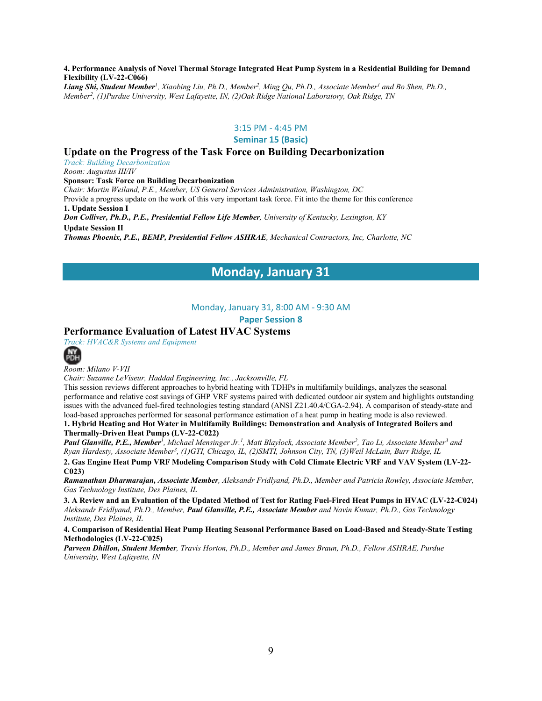#### **4. Performance Analysis of Novel Thermal Storage Integrated Heat Pump System in a Residential Building for Demand Flexibility (LV-22-C066)**

Liang Shi, Student Member<sup>1</sup>, Xiaobing Liu, Ph.D., Member<sup>2</sup>, Ming Qu, Ph.D., Associate Member<sup>1</sup> and Bo Shen, Ph.D., *Member2, (1)Purdue University, West Lafayette, IN, (2)Oak Ridge National Laboratory, Oak Ridge, TN*

### 3:15 PM - 4:45 PM

#### **Seminar 15 (Basic)**

### **Update on the Progress of the Task Force on Building Decarbonization**

*Track: Building Decarbonization*

*Room: Augustus III/IV*

#### **Sponsor: Task Force on Building Decarbonization**

*Chair: Martin Weiland, P.E., Member, US General Services Administration, Washington, DC* Provide a progress update on the work of this very important task force. Fit into the theme for this conference

**1. Update Session I**

*Don Colliver, Ph.D., P.E., Presidential Fellow Life Member, University of Kentucky, Lexington, KY*

**Update Session II**

*Thomas Phoenix, P.E., BEMP, Presidential Fellow ASHRAE, Mechanical Contractors, Inc, Charlotte, NC*

### **Monday, January 31**

### Monday, January 31, 8:00 AM - 9:30 AM

**Paper Session 8** 

### **Performance Evaluation of Latest HVAC Systems**

*Track: HVAC&R Systems and Equipment*



*Room: Milano V-VII*

*Chair: Suzanne LeViseur, Haddad Engineering, Inc., Jacksonville, FL*

This session reviews different approaches to hybrid heating with TDHPs in multifamily buildings, analyzes the seasonal performance and relative cost savings of GHP VRF systems paired with dedicated outdoor air system and highlights outstanding issues with the advanced fuel-fired technologies testing standard (ANSI Z21.40.4/CGA-2.94). A comparison of steady-state and load-based approaches performed for seasonal performance estimation of a heat pump in heating mode is also reviewed. **1. Hybrid Heating and Hot Water in Multifamily Buildings: Demonstration and Analysis of Integrated Boilers and Thermally-Driven Heat Pumps (LV-22-C022)**

*Paul Glanville, P.E., Member1, Michael Mensinger Jr.1, Matt Blaylock, Associate Member2, Tao Li, Associate Member3 and Ryan Hardesty, Associate Member3, (1)GTI, Chicago, IL, (2)SMTI, Johnson City, TN, (3)Weil McLain, Burr Ridge, IL*

**2. Gas Engine Heat Pump VRF Modeling Comparison Study with Cold Climate Electric VRF and VAV System (LV-22- C023)**

*Ramanathan Dharmarajan, Associate Member, Aleksandr Fridlyand, Ph.D., Member and Patricia Rowley, Associate Member, Gas Technology Institute, Des Plaines, IL*

**3. A Review and an Evaluation of the Updated Method of Test for Rating Fuel-Fired Heat Pumps in HVAC (LV-22-C024)** *Aleksandr Fridlyand, Ph.D., Member, Paul Glanville, P.E., Associate Member and Navin Kumar, Ph.D., Gas Technology Institute, Des Plaines, IL*

**4. Comparison of Residential Heat Pump Heating Seasonal Performance Based on Load-Based and Steady-State Testing Methodologies (LV-22-C025)**

*Parveen Dhillon, Student Member, Travis Horton, Ph.D., Member and James Braun, Ph.D., Fellow ASHRAE, Purdue University, West Lafayette, IN*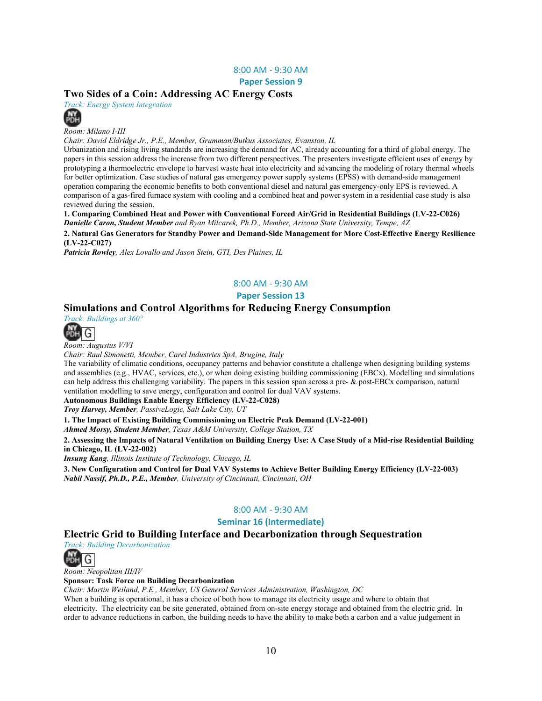#### 8:00 AM - 9:30 AM

**Paper Session 9** 

### **Two Sides of a Coin: Addressing AC Energy Costs**

*Track: Energy System Integration*



*Room: Milano I-III*

*Chair: David Eldridge Jr., P.E., Member, Grumman/Butkus Associates, Evanston, IL*

Urbanization and rising living standards are increasing the demand for AC, already accounting for a third of global energy. The papers in this session address the increase from two different perspectives. The presenters investigate efficient uses of energy by prototyping a thermoelectric envelope to harvest waste heat into electricity and advancing the modeling of rotary thermal wheels for better optimization. Case studies of natural gas emergency power supply systems (EPSS) with demand-side management operation comparing the economic benefits to both conventional diesel and natural gas emergency-only EPS is reviewed. A comparison of a gas-fired furnace system with cooling and a combined heat and power system in a residential case study is also reviewed during the session.

**1. Comparing Combined Heat and Power with Conventional Forced Air/Grid in Residential Buildings (LV-22-C026)** *Danielle Caron, Student Member and Ryan Milcarek, Ph.D., Member, Arizona State University, Tempe, AZ*

**2. Natural Gas Generators for Standby Power and Demand-Side Management for More Cost-Effective Energy Resilience (LV-22-C027)**

*Patricia Rowley, Alex Lovallo and Jason Stein, GTI, Des Plaines, IL*

### 8:00 AM - 9:30 AM

**Paper Session 13** 

### **Simulations and Control Algorithms for Reducing Energy Consumption**



*Room: Augustus V/VI*

*Chair: Raul Simonetti, Member, Carel Industries SpA, Brugine, Italy*

The variability of climatic conditions, occupancy patterns and behavior constitute a challenge when designing building systems and assemblies (e.g., HVAC, services, etc.), or when doing existing building commissioning (EBCx). Modelling and simulations can help address this challenging variability. The papers in this session span across a pre- & post-EBCx comparison, natural ventilation modelling to save energy, configuration and control for dual VAV systems.

#### **Autonomous Buildings Enable Energy Efficiency (LV-22-C028)**

*Troy Harvey, Member, PassiveLogic, Salt Lake City, UT*

**1. The Impact of Existing Building Commissioning on Electric Peak Demand (LV-22-001)**

*Ahmed Morsy, Student Member, Texas A&M University, College Station, TX*

**2. Assessing the Impacts of Natural Ventilation on Building Energy Use: A Case Study of a Mid-rise Residential Building in Chicago, IL (LV-22-002)**

*Insung Kang, Illinois Institute of Technology, Chicago, IL*

**3. New Configuration and Control for Dual VAV Systems to Achieve Better Building Energy Efficiency (LV-22-003)** *Nabil Nassif, Ph.D., P.E., Member, University of Cincinnati, Cincinnati, OH*

### 8:00 AM - 9:30 AM

### **Seminar 16 (Intermediate)**

### **Electric Grid to Building Interface and Decarbonization through Sequestration**

*Track: Building Decarbonization*



*Room: Neopolitan III/IV*

**Sponsor: Task Force on Building Decarbonization** 

*Chair: Martin Weiland, P.E., Member, US General Services Administration, Washington, DC*

When a building is operational, it has a choice of both how to manage its electricity usage and where to obtain that electricity. The electricity can be site generated, obtained from on-site energy storage and obtained from the electric grid. In order to advance reductions in carbon, the building needs to have the ability to make both a carbon and a value judgement in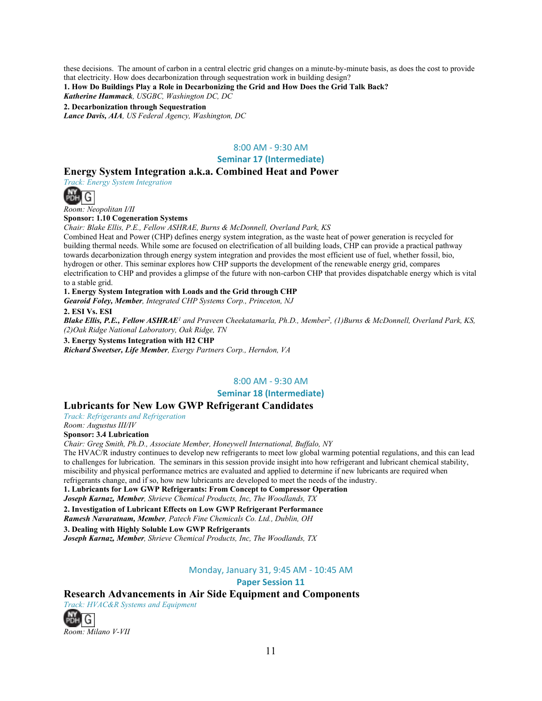these decisions. The amount of carbon in a central electric grid changes on a minute-by-minute basis, as does the cost to provide that electricity. How does decarbonization through sequestration work in building design?

**1. How Do Buildings Play a Role in Decarbonizing the Grid and How Does the Grid Talk Back?**

*Katherine Hammack, USGBC, Washington DC, DC*

**2. Decarbonization through Sequestration**

*Lance Davis, AIA, US Federal Agency, Washington, DC*

### 8:00 AM - 9:30 AM

**Seminar 17 (Intermediate)**

### **Energy System Integration a.k.a. Combined Heat and Power**

*Track: Energy System Integration*



*Room: Neopolitan I/II*

**Sponsor: 1.10 Cogeneration Systems**

*Chair: Blake Ellis, P.E., Fellow ASHRAE, Burns & McDonnell, Overland Park, KS*

Combined Heat and Power (CHP) defines energy system integration, as the waste heat of power generation is recycled for building thermal needs. While some are focused on electrification of all building loads, CHP can provide a practical pathway towards decarbonization through energy system integration and provides the most efficient use of fuel, whether fossil, bio, hydrogen or other. This seminar explores how CHP supports the development of the renewable energy grid, compares electrification to CHP and provides a glimpse of the future with non-carbon CHP that provides dispatchable energy which is vital to a stable grid.

### **1. Energy System Integration with Loads and the Grid through CHP**

*Gearoid Foley, Member, Integrated CHP Systems Corp., Princeton, NJ*

**2. ESI Vs. ESI**

*Blake Ellis, P.E., Fellow ASHRAE<sup>1</sup> and Praveen Cheekatamarla, Ph.D., Member2, (1)Burns & McDonnell, Overland Park, KS, (2)Oak Ridge National Laboratory, Oak Ridge, TN*

**3. Energy Systems Integration with H2 CHP**

*Richard Sweetser, Life Member, Exergy Partners Corp., Herndon, VA*

### 8:00 AM - 9:30 AM

**Seminar 18 (Intermediate)**

#### **Lubricants for New Low GWP Refrigerant Candidates**

*Track: Refrigerants and Refrigeration*

*Room: Augustus III/IV*

**Sponsor: 3.4 Lubrication**

*Chair: Greg Smith, Ph.D., Associate Member, Honeywell International, Buffalo, NY*

The HVAC/R industry continues to develop new refrigerants to meet low global warming potential regulations, and this can lead to challenges for lubrication. The seminars in this session provide insight into how refrigerant and lubricant chemical stability, miscibility and physical performance metrics are evaluated and applied to determine if new lubricants are required when refrigerants change, and if so, how new lubricants are developed to meet the needs of the industry.

**1. Lubricants for Low GWP Refrigerants: From Concept to Compressor Operation** 

*Joseph Karnaz, Member, Shrieve Chemical Products, Inc, The Woodlands, TX*

**2. Investigation of Lubricant Effects on Low GWP Refrigerant Performance**

*Ramesh Navaratnam, Member, Patech Fine Chemicals Co. Ltd., Dublin, OH*

**3. Dealing with Highly Soluble Low GWP Refrigerants**

*Joseph Karnaz, Member, Shrieve Chemical Products, Inc, The Woodlands, TX*

### Monday, January 31, 9:45 AM - 10:45 AM

#### **Paper Session 11**

**Research Advancements in Air Side Equipment and Components**

*Track: HVAC&R Systems and Equipment*

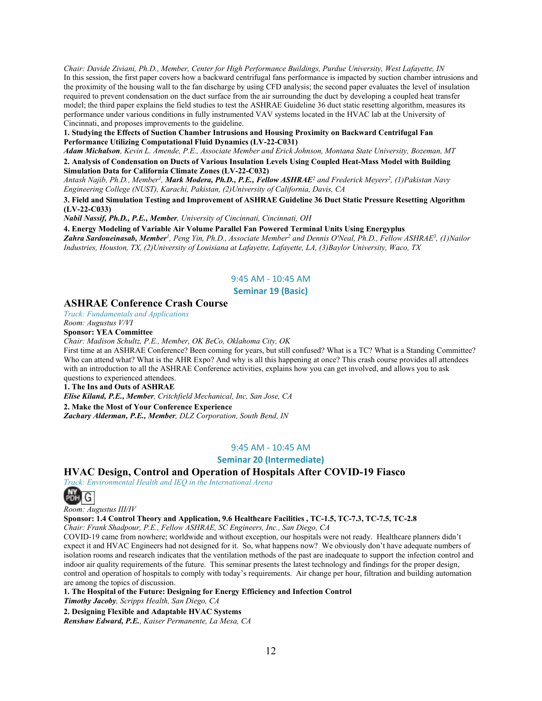*Chair: Davide Ziviani, Ph.D., Member, Center for High Performance Buildings, Purdue University, West Lafayette, IN* In this session, the first paper covers how a backward centrifugal fans performance is impacted by suction chamber intrusions and the proximity of the housing wall to the fan discharge by using CFD analysis; the second paper evaluates the level of insulation required to prevent condensation on the duct surface from the air surrounding the duct by developing a coupled heat transfer model; the third paper explains the field studies to test the ASHRAE Guideline 36 duct static resetting algorithm, measures its performance under various conditions in fully instrumented VAV systems located in the HVAC lab at the University of Cincinnati, and proposes improvements to the guideline.

**1. Studying the Effects of Suction Chamber Intrusions and Housing Proximity on Backward Centrifugal Fan Performance Utilizing Computational Fluid Dynamics (LV-22-C031)**

*Adam Michalson, Kevin L. Amende, P.E., Associate Member and Erick Johnson, Montana State University, Bozeman, MT*

**2. Analysis of Condensation on Ducts of Various Insulation Levels Using Coupled Heat-Mass Model with Building Simulation Data for California Climate Zones (LV-22-C032)**

*Antash Najib, Ph.D., Member1, Mark Modera, Ph.D., P.E., Fellow ASHRAE<sup>2</sup> and Frederick Meyers2, (1)Pakistan Navy Engineering College (NUST), Karachi, Pakistan, (2)University of California, Davis, CA*

**3. Field and Simulation Testing and Improvement of ASHRAE Guideline 36 Duct Static Pressure Resetting Algorithm (LV-22-C033)**

*Nabil Nassif, Ph.D., P.E., Member, University of Cincinnati, Cincinnati, OH*

**4. Energy Modeling of Variable Air Volume Parallel Fan Powered Terminal Units Using Energyplus** *Zahra Sardoueinasab, Member1, Peng Yin, Ph.D., Associate Member2 and Dennis O'Neal, Ph.D., Fellow ASHRAE3, (1)Nailor Industries, Houston, TX, (2)University of Louisiana at Lafayette, Lafayette, LA, (3)Baylor University, Waco, TX*

### 9:45 AM - 10:45 AM

### **Seminar 19 (Basic)**

### **ASHRAE Conference Crash Course**

*Track: Fundamentals and Applications*

*Room: Augustus V/VI*

**Sponsor: YEA Committee** 

*Chair: Madison Schultz, P.E., Member, OK BeCo, Oklahoma City, OK*

First time at an ASHRAE Conference? Been coming for years, but still confused? What is a TC? What is a Standing Committee? Who can attend what? What is the AHR Expo? And why is all this happening at once? This crash course provides all attendees with an introduction to all the ASHRAE Conference activities, explains how you can get involved, and allows you to ask questions to experienced attendees.

**1. The Ins and Outs of ASHRAE**

*Elise Kiland, P.E., Member, Critchfield Mechanical, Inc, San Jose, CA*

**2. Make the Most of Your Conference Experience**

*Zachary Alderman, P.E., Member, DLZ Corporation, South Bend, IN*

9:45 AM - 10:45 AM

**Seminar 20 (Intermediate)**

### **HVAC Design, Control and Operation of Hospitals After COVID-19 Fiasco**

*Track: Environmental Health and IEQ in the International Arena*



*Room: Augustus III/IV*

**Sponsor: 1.4 Control Theory and Application, 9.6 Healthcare Facilities , TC-1.5, TC-7.3, TC-7.5, TC-2.8** 

*Chair: Frank Shadpour, P.E., Fellow ASHRAE, SC Engineers, Inc., San Diego, CA*

COVID-19 came from nowhere; worldwide and without exception, our hospitals were not ready. Healthcare planners didn't expect it and HVAC Engineers had not designed for it. So, what happens now? We obviously don't have adequate numbers of isolation rooms and research indicates that the ventilation methods of the past are inadequate to support the infection control and indoor air quality requirements of the future. This seminar presents the latest technology and findings for the proper design, control and operation of hospitals to comply with today's requirements. Air change per hour, filtration and building automation are among the topics of discussion.

**1. The Hospital of the Future: Designing for Energy Efficiency and Infection Control** *Timothy Jacoby, Scripps Health, San Diego, CA*

**2. Designing Flexible and Adaptable HVAC Systems**

*Renshaw Edward, P.E., Kaiser Permanente, La Mesa, CA*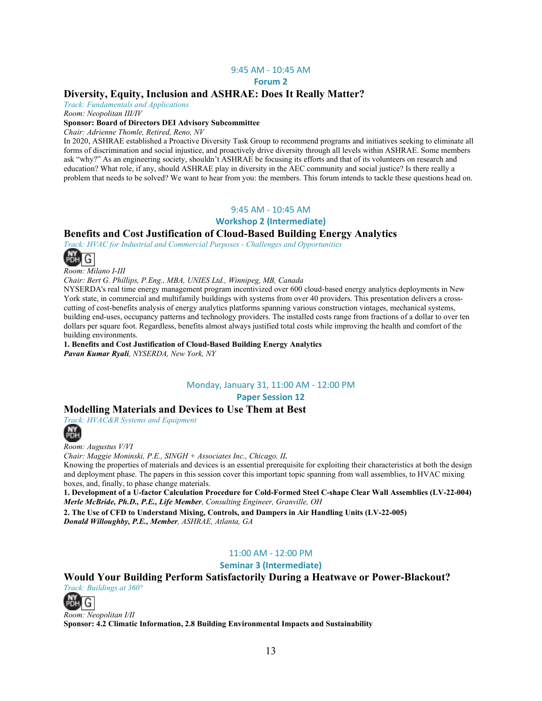#### 9:45 AM - 10:45 AM

#### **Forum 2**

### **Diversity, Equity, Inclusion and ASHRAE: Does It Really Matter?**

*Track: Fundamentals and Applications*

*Room: Neopolitan III/IV*

#### **Sponsor: Board of Directors DEI Advisory Subcommittee**

*Chair: Adrienne Thomle, Retired, Reno, NV*

In 2020, ASHRAE established a Proactive Diversity Task Group to recommend programs and initiatives seeking to eliminate all forms of discrimination and social injustice, and proactively drive diversity through all levels within ASHRAE. Some members ask "why?" As an engineering society, shouldn't ASHRAE be focusing its efforts and that of its volunteers on research and education? What role, if any, should ASHRAE play in diversity in the AEC community and social justice? Is there really a problem that needs to be solved? We want to hear from you: the members. This forum intends to tackle these questions head on.

### 9:45 AM - 10:45 AM

#### **Workshop 2 (Intermediate)**

### **Benefits and Cost Justification of Cloud-Based Building Energy Analytics**

*Track: HVAC for Industrial and Commercial Purposes - Challenges and Opportunities*



*Room: Milano I-III*

*Chair: Bert G. Phillips, P.Eng., MBA, UNIES Ltd., Winnipeg, MB, Canada*

NYSERDA's real time energy management program incentivized over 600 cloud-based energy analytics deployments in New York state, in commercial and multifamily buildings with systems from over 40 providers. This presentation delivers a crosscutting of cost-benefits analysis of energy analytics platforms spanning various construction vintages, mechanical systems, building end-uses, occupancy patterns and technology providers. The installed costs range from fractions of a dollar to over ten dollars per square foot. Regardless, benefits almost always justified total costs while improving the health and comfort of the building environments.

**1. Benefits and Cost Justification of Cloud-Based Building Energy Analytics** *Pavan Kumar Ryali, NYSERDA, New York, NY*

### Monday, January 31, 11:00 AM - 12:00 PM

**Paper Session 12** 

### **Modelling Materials and Devices to Use Them at Best**

*Track: HVAC&R Systems and Equipment*



*Room: Augustus V/VI*

*Chair: Maggie Moninski, P.E., SINGH + Associates Inc., Chicago, IL*

Knowing the properties of materials and devices is an essential prerequisite for exploiting their characteristics at both the design and deployment phase. The papers in this session cover this important topic spanning from wall assemblies, to HVAC mixing boxes, and, finally, to phase change materials.

**1. Development of a U-factor Calculation Procedure for Cold-Formed Steel C-shape Clear Wall Assemblies (LV-22-004)** *Merle McBride, Ph.D., P.E., Life Member, Consulting Engineer, Granville, OH*

**2. The Use of CFD to Understand Mixing, Controls, and Dampers in Air Handling Units (LV-22-005)** *Donald Willoughby, P.E., Member, ASHRAE, Atlanta, GA*

### 11:00 AM - 12:00 PM

**Seminar 3 (Intermediate)**

### **Would Your Building Perform Satisfactorily During a Heatwave or Power-Blackout?**

*Track: Buildings at 360°*



*Room: Neopolitan I/II* **Sponsor: 4.2 Climatic Information, 2.8 Building Environmental Impacts and Sustainability**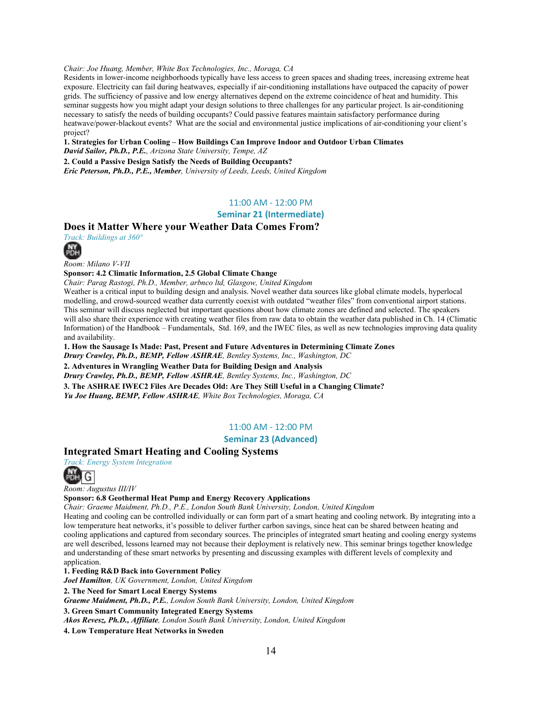### *Chair: Joe Huang, Member, White Box Technologies, Inc., Moraga, CA*

Residents in lower-income neighborhoods typically have less access to green spaces and shading trees, increasing extreme heat exposure. Electricity can fail during heatwaves, especially if air-conditioning installations have outpaced the capacity of power grids. The sufficiency of passive and low energy alternatives depend on the extreme coincidence of heat and humidity. This seminar suggests how you might adapt your design solutions to three challenges for any particular project. Is air-conditioning necessary to satisfy the needs of building occupants? Could passive features maintain satisfactory performance during heatwave/power-blackout events? What are the social and environmental justice implications of air-conditioning your client's project?

#### **1. Strategies for Urban Cooling – How Buildings Can Improve Indoor and Outdoor Urban Climates** *David Sailor, Ph.D., P.E., Arizona State University, Tempe, AZ*

**2. Could a Passive Design Satisfy the Needs of Building Occupants?** *Eric Peterson, Ph.D., P.E., Member, University of Leeds, Leeds, United Kingdom*

### 11:00 AM - 12:00 PM

#### **Seminar 21 (Intermediate)**

### **Does it Matter Where your Weather Data Comes From?**

*Track: Buildings at 360°*



*Room: Milano V-VII*

#### **Sponsor: 4.2 Climatic Information, 2.5 Global Climate Change**

*Chair: Parag Rastogi, Ph.D., Member, arbnco ltd, Glasgow, United Kingdom*

Weather is a critical input to building design and analysis. Novel weather data sources like global climate models, hyperlocal modelling, and crowd-sourced weather data currently coexist with outdated "weather files" from conventional airport stations. This seminar will discuss neglected but important questions about how climate zones are defined and selected. The speakers will also share their experience with creating weather files from raw data to obtain the weather data published in Ch. 14 (Climatic Information) of the Handbook – Fundamentals, Std. 169, and the IWEC files, as well as new technologies improving data quality and availability.

**1. How the Sausage Is Made: Past, Present and Future Adventures in Determining Climate Zones** *Drury Crawley, Ph.D., BEMP, Fellow ASHRAE, Bentley Systems, Inc., Washington, DC* **2. Adventures in Wrangling Weather Data for Building Design and Analysis**

*Drury Crawley, Ph.D., BEMP, Fellow ASHRAE, Bentley Systems, Inc., Washington, DC*

**3. The ASHRAE IWEC2 Files Are Decades Old: Are They Still Useful in a Changing Climate?**

*Yu Joe Huang, BEMP, Fellow ASHRAE, White Box Technologies, Moraga, CA*

#### 11:00 AM - 12:00 PM

#### **Seminar 23 (Advanced)**

### **Integrated Smart Heating and Cooling Systems**

*Track: Energy System Integration*



*Room: Augustus III/IV*

#### **Sponsor: 6.8 Geothermal Heat Pump and Energy Recovery Applications**

*Chair: Graeme Maidment, Ph.D., P.E., London South Bank University, London, United Kingdom*

Heating and cooling can be controlled individually or can form part of a smart heating and cooling network. By integrating into a low temperature heat networks, it's possible to deliver further carbon savings, since heat can be shared between heating and cooling applications and captured from secondary sources. The principles of integrated smart heating and cooling energy systems are well described, lessons learned may not because their deployment is relatively new. This seminar brings together knowledge and understanding of these smart networks by presenting and discussing examples with different levels of complexity and application.

#### **1. Feeding R&D Back into Government Policy**

*Joel Hamilton, UK Government, London, United Kingdom*

**2. The Need for Smart Local Energy Systems**

*Graeme Maidment, Ph.D., P.E., London South Bank University, London, United Kingdom*

**3. Green Smart Community Integrated Energy Systems**  *Akos Revesz, Ph.D., Affiliate, London South Bank University, London, United Kingdom*

**4. Low Temperature Heat Networks in Sweden**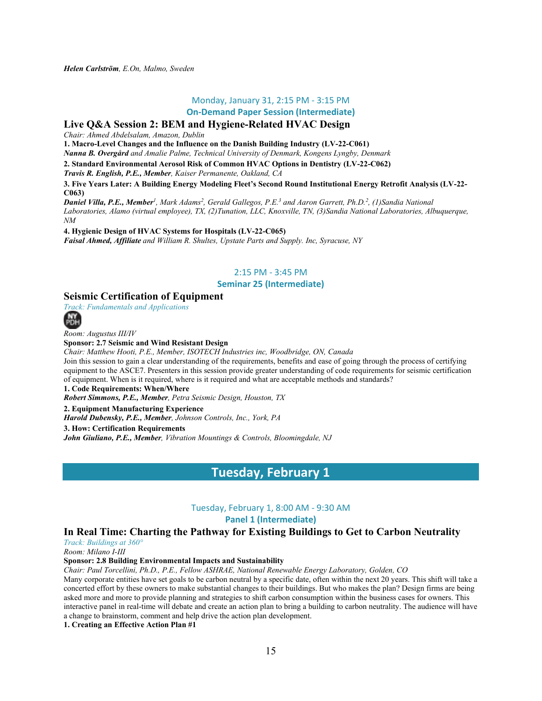*Helen Carlström, E.On, Malmo, Sweden*

### Monday, January 31, 2:15 PM - 3:15 PM

**On-Demand Paper Session (Intermediate)**

### **Live Q&A Session 2: BEM and Hygiene-Related HVAC Design**

*Chair: Ahmed Abdelsalam, Amazon, Dublin* 

**1. Macro-Level Changes and the Influence on the Danish Building Industry (LV-22-C061)**

*Nanna B. Overgård and Amalie Palme, Technical University of Denmark, Kongens Lyngby, Denmark*

**2. Standard Environmental Aerosol Risk of Common HVAC Options in Dentistry (LV-22-C062)**

*Travis R. English, P.E., Member, Kaiser Permanente, Oakland, CA*

**3. Five Years Later: A Building Energy Modeling Fleet's Second Round Institutional Energy Retrofit Analysis (LV-22- C063)**

*Daniel Villa, P.E., Member1, Mark Adams2, Gerald Gallegos, P.E.3 and Aaron Garrett, Ph.D.2, (1)Sandia National Laboratories, Alamo (virtual employee), TX, (2)Tunation, LLC, Knoxville, TN, (3)Sandia National Laboratories, Albuquerque, NM*

**4. Hygienic Design of HVAC Systems for Hospitals (LV-22-C065)** *Faisal Ahmed, Affiliate and William R. Shultes, Upstate Parts and Supply. Inc, Syracuse, NY*

### 2:15 PM - 3:45 PM

### **Seminar 25 (Intermediate)**

### **Seismic Certification of Equipment**

*Track: Fundamentals and Applications*

**NIY** 

*Room: Augustus III/IV*

**Sponsor: 2.7 Seismic and Wind Resistant Design**

*Chair: Matthew Hooti, P.E., Member, ISOTECH Industries inc, Woodbridge, ON, Canada* Join this session to gain a clear understanding of the requirements, benefits and ease of going through the process of certifying equipment to the ASCE7. Presenters in this session provide greater understanding of code requirements for seismic certification

of equipment. When is it required, where is it required and what are acceptable methods and standards?

**1. Code Requirements: When/Where**

*Robert Simmons, P.E., Member, Petra Seismic Design, Houston, TX*

**2. Equipment Manufacturing Experience** *Harold Dubensky, P.E., Member, Johnson Controls, Inc., York, PA* **3. How: Certification Requirements**

*John Giuliano, P.E., Member, Vibration Mountings & Controls, Bloomingdale, NJ*

### **Tuesday, February 1**

Tuesday, February 1, 8:00 AM - 9:30 AM

### **Panel 1 (Intermediate)**

### **In Real Time: Charting the Pathway for Existing Buildings to Get to Carbon Neutrality**

*Track: Buildings at 360°*

*Room: Milano I-III*

### **Sponsor: 2.8 Building Environmental Impacts and Sustainability**

*Chair: Paul Torcellini, Ph.D., P.E., Fellow ASHRAE, National Renewable Energy Laboratory, Golden, CO*

Many corporate entities have set goals to be carbon neutral by a specific date, often within the next 20 years. This shift will take a concerted effort by these owners to make substantial changes to their buildings. But who makes the plan? Design firms are being asked more and more to provide planning and strategies to shift carbon consumption within the business cases for owners. This interactive panel in real-time will debate and create an action plan to bring a building to carbon neutrality. The audience will have a change to brainstorm, comment and help drive the action plan development.

**1. Creating an Effective Action Plan #1**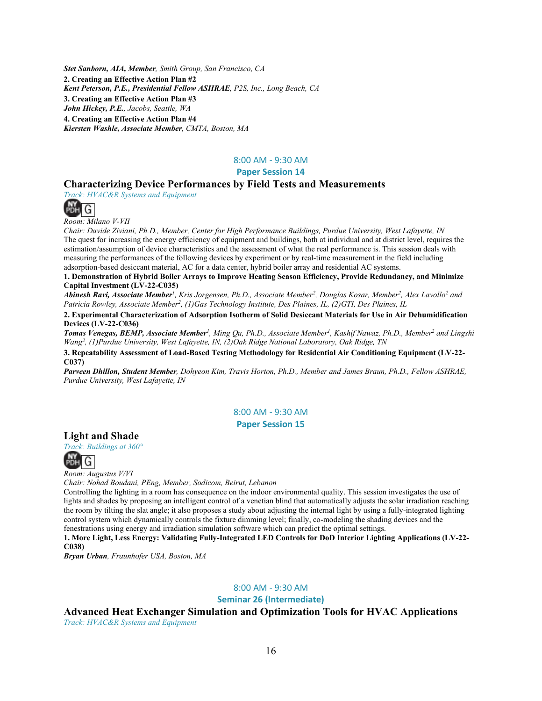*Stet Sanborn, AIA, Member, Smith Group, San Francisco, CA* **2. Creating an Effective Action Plan #2** *Kent Peterson, P.E., Presidential Fellow ASHRAE, P2S, Inc., Long Beach, CA* **3. Creating an Effective Action Plan #3** *John Hickey, P.E., Jacobs, Seattle, WA* **4. Creating an Effective Action Plan #4** *Kiersten Washle, Associate Member, CMTA, Boston, MA*

### 8:00 AM - 9:30 AM

### **Paper Session 14**

### **Characterizing Device Performances by Field Tests and Measurements**

*Track: HVAC&R Systems and Equipment*



*Room: Milano V-VII*

*Chair: Davide Ziviani, Ph.D., Member, Center for High Performance Buildings, Purdue University, West Lafayette, IN* The quest for increasing the energy efficiency of equipment and buildings, both at individual and at district level, requires the estimation/assumption of device characteristics and the assessment of what the real performance is. This session deals with measuring the performances of the following devices by experiment or by real-time measurement in the field including adsorption-based desiccant material, AC for a data center, hybrid boiler array and residential AC systems.

**1. Demonstration of Hybrid Boiler Arrays to Improve Heating Season Efficiency, Provide Redundancy, and Minimize Capital Investment (LV-22-C035)**

*Abinesh Ravi, Associate Member1, Kris Jorgensen, Ph.D., Associate Member2, Douglas Kosar, Member2, Alex Lavollo2 and Patricia Rowley, Associate Member2, (1)Gas Technology Institute, Des Plaines, IL, (2)GTI, Des Plaines, IL*

**2. Experimental Characterization of Adsorption Isotherm of Solid Desiccant Materials for Use in Air Dehumidification Devices (LV-22-C036)**

*Tomas Venegas, BEMP, Associate Member1, Ming Qu, Ph.D., Associate Member1, Kashif Nawaz, Ph.D., Member2 and Lingshi Wang2, (1)Purdue University, West Lafayette, IN, (2)Oak Ridge National Laboratory, Oak Ridge, TN*

**3. Repeatability Assessment of Load-Based Testing Methodology for Residential Air Conditioning Equipment (LV-22- C037)**

*Parveen Dhillon, Student Member, Dohyeon Kim, Travis Horton, Ph.D., Member and James Braun, Ph.D., Fellow ASHRAE, Purdue University, West Lafayette, IN*

> 8:00 AM - 9:30 AM **Paper Session 15**

### **Light and Shade**

*Track: Buildings at 360°*



*Room: Augustus V/VI*

*Chair: Nohad Boudani, PEng, Member, Sodicom, Beirut, Lebanon*

Controlling the lighting in a room has consequence on the indoor environmental quality. This session investigates the use of lights and shades by proposing an intelligent control of a venetian blind that automatically adjusts the solar irradiation reaching the room by tilting the slat angle; it also proposes a study about adjusting the internal light by using a fully-integrated lighting control system which dynamically controls the fixture dimming level; finally, co-modeling the shading devices and the fenestrations using energy and irradiation simulation software which can predict the optimal settings.

**1. More Light, Less Energy: Validating Fully-Integrated LED Controls for DoD Interior Lighting Applications (LV-22- C038)**

*Bryan Urban, Fraunhofer USA, Boston, MA*

### 8:00 AM - 9:30 AM

**Seminar 26 (Intermediate)**

**Advanced Heat Exchanger Simulation and Optimization Tools for HVAC Applications** *Track: HVAC&R Systems and Equipment*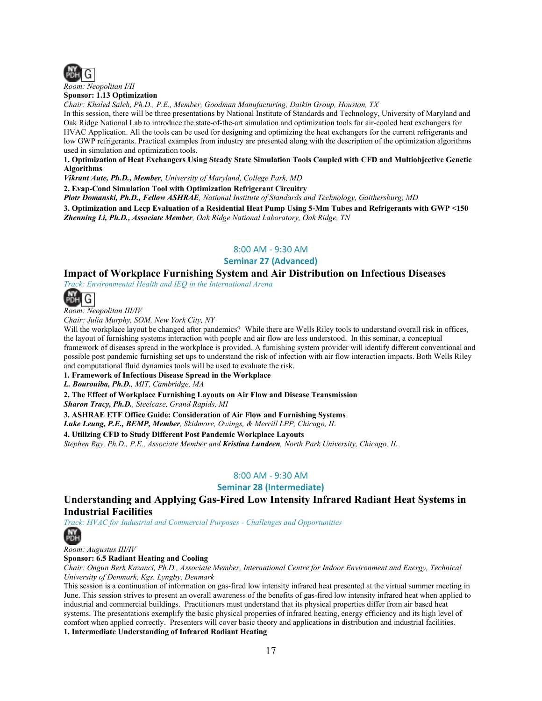

*Room: Neopolitan I/II* **Sponsor: 1.13 Optimization**

*Chair: Khaled Saleh, Ph.D., P.E., Member, Goodman Manufacturing, Daikin Group, Houston, TX*

In this session, there will be three presentations by National Institute of Standards and Technology, University of Maryland and Oak Ridge National Lab to introduce the state-of-the-art simulation and optimization tools for air-cooled heat exchangers for HVAC Application. All the tools can be used for designing and optimizing the heat exchangers for the current refrigerants and low GWP refrigerants. Practical examples from industry are presented along with the description of the optimization algorithms used in simulation and optimization tools.

#### **1. Optimization of Heat Exchangers Using Steady State Simulation Tools Coupled with CFD and Multiobjective Genetic Algorithms**

*Vikrant Aute, Ph.D., Member, University of Maryland, College Park, MD*

**2. Evap-Cond Simulation Tool with Optimization Refrigerant Circuitry**

*Piotr Domanski, Ph.D., Fellow ASHRAE, National Institute of Standards and Technology, Gaithersburg, MD*

**3. Optimization and Lccp Evaluation of a Residential Heat Pump Using 5-Mm Tubes and Refrigerants with GWP <150** *Zhenning Li, Ph.D., Associate Member, Oak Ridge National Laboratory, Oak Ridge, TN*

### 8:00 AM - 9:30 AM

#### **Seminar 27 (Advanced)**

### **Impact of Workplace Furnishing System and Air Distribution on Infectious Diseases**

*Track: Environmental Health and IEQ in the International Arena*



*Room: Neopolitan III/IV*

*Chair: Julia Murphy, SOM, New York City, NY*

Will the workplace layout be changed after pandemics? While there are Wells Riley tools to understand overall risk in offices, the layout of furnishing systems interaction with people and air flow are less understood. In this seminar, a conceptual framework of diseases spread in the workplace is provided. A furnishing system provider will identify different conventional and possible post pandemic furnishing set ups to understand the risk of infection with air flow interaction impacts. Both Wells Riley and computational fluid dynamics tools will be used to evaluate the risk.

**1. Framework of Infectious Disease Spread in the Workplace**

*L. Bourouiba, Ph.D., MIT, Cambridge, MA*

**2. The Effect of Workplace Furnishing Layouts on Air Flow and Disease Transmission**

*Sharon Tracy, Ph.D., Steelcase, Grand Rapids, MI*

**3. ASHRAE ETF Office Guide: Consideration of Air Flow and Furnishing Systems**

*Luke Leung, P.E., BEMP, Member, Skidmore, Owings, & Merrill LPP, Chicago, IL*

**4. Utilizing CFD to Study Different Post Pandemic Workplace Layouts**

*Stephen Ray, Ph.D., P.E., Associate Member and Kristina Lundeen, North Park University, Chicago, IL*

### 8:00 AM - 9:30 AM

### **Seminar 28 (Intermediate)**

**Understanding and Applying Gas-Fired Low Intensity Infrared Radiant Heat Systems in Industrial Facilities**

## **NY**<br>PDH

*Track: HVAC for Industrial and Commercial Purposes - Challenges and Opportunities*



*Room: Augustus III/IV* **Sponsor: 6.5 Radiant Heating and Cooling**

*Chair: Ongun Berk Kazanci, Ph.D., Associate Member, International Centre for Indoor Environment and Energy, Technical* 

*University of Denmark, Kgs. Lyngby, Denmark* This session is a continuation of information on gas-fired low intensity infrared heat presented at the virtual summer meeting in June. This session strives to present an overall awareness of the benefits of gas-fired low intensity infrared heat when applied to industrial and commercial buildings. Practitioners must understand that its physical properties differ from air based heat systems. The presentations exemplify the basic physical properties of infrared heating, energy efficiency and its high level of comfort when applied correctly. Presenters will cover basic theory and applications in distribution and industrial facilities.

**1. Intermediate Understanding of Infrared Radiant Heating**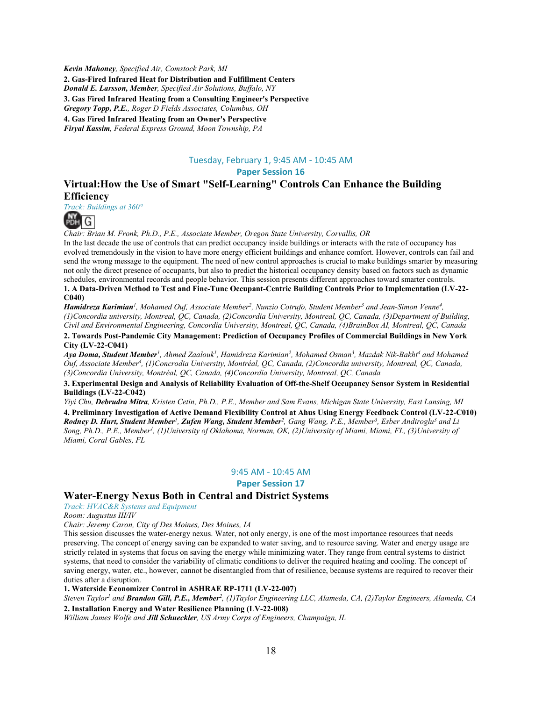*Kevin Mahoney, Specified Air, Comstock Park, MI* **2. Gas-Fired Infrared Heat for Distribution and Fulfillment Centers** *Donald E. Larsson, Member, Specified Air Solutions, Buffalo, NY* **3. Gas Fired Infrared Heating from a Consulting Engineer's Perspective** *Gregory Topp, P.E., Roger D Fields Associates, Columbus, OH* **4. Gas Fired Infrared Heating from an Owner's Perspective** *Firyal Kassim, Federal Express Ground, Moon Township, PA*

### Tuesday, February 1, 9:45 AM - 10:45 AM

**Paper Session 16** 

### **Virtual:How the Use of Smart "Self-Learning" Controls Can Enhance the Building Efficiency**

*Track: Buildings at 360°*



*Chair: Brian M. Fronk, Ph.D., P.E., Associate Member, Oregon State University, Corvallis, OR*

In the last decade the use of controls that can predict occupancy inside buildings or interacts with the rate of occupancy has evolved tremendously in the vision to have more energy efficient buildings and enhance comfort. However, controls can fail and send the wrong message to the equipment. The need of new control approaches is crucial to make buildings smarter by measuring not only the direct presence of occupants, but also to predict the historical occupancy density based on factors such as dynamic schedules, environmental records and people behavior. This session presents different approaches toward smarter controls. **1. A Data-Driven Method to Test and Fine-Tune Occupant-Centric Building Controls Prior to Implementation (LV-22- C040)**

*Hamidreza Karimian1, Mohamed Ouf, Associate Member2, Nunzio Cotrufo, Student Member3 and Jean-Simon Venne4, (1)Concordia university, Montreal, QC, Canada, (2)Concordia University, Montreal, QC, Canada, (3)Department of Building, Civil and Environmental Engineering, Concordia University, Montreal, QC, Canada, (4)BrainBox AI, Montreal, QC, Canada*

**2. Towards Post-Pandemic City Management: Prediction of Occupancy Profiles of Commercial Buildings in New York City (LV-22-C041)**

*Aya Doma, Student Member1, Ahmed Zaalouk1, Hamidreza Karimian2, Mohamed Osman3, Mazdak Nik-Bakht4 and Mohamed Ouf, Associate Member4, (1)Concrodia University, Montréal, QC, Canada, (2)Concordia university, Montreal, QC, Canada, (3)Concordia University, Montréal, QC, Canada, (4)Concordia University, Montreal, QC, Canada*

**3. Experimental Design and Analysis of Reliability Evaluation of Off-the-Shelf Occupancy Sensor System in Residential Buildings (LV-22-C042)**

*Yiyi Chu, Debrudra Mitra, Kristen Cetin, Ph.D., P.E., Member and Sam Evans, Michigan State University, East Lansing, MI* **4. Preliminary Investigation of Active Demand Flexibility Control at Ahus Using Energy Feedback Control (LV-22-C010)** *Rodney D. Hurt, Student Member1, Zufen Wang, Student Member2, Gang Wang, P.E., Member3, Esber Andiroglu3 and Li Song, Ph.D., P.E., Member1, (1)University of Oklahoma, Norman, OK, (2)University of Miami, Miami, FL, (3)University of Miami, Coral Gables, FL*

### 9:45 AM - 10:45 AM

**Paper Session 17** 

### **Water-Energy Nexus Both in Central and District Systems**

*Track: HVAC&R Systems and Equipment*

*Room: Augustus III/IV*

*Chair: Jeremy Caron, City of Des Moines, Des Moines, IA*

This session discusses the water-energy nexus. Water, not only energy, is one of the most importance resources that needs preserving. The concept of energy saving can be expanded to water saving, and to resource saving. Water and energy usage are strictly related in systems that focus on saving the energy while minimizing water. They range from central systems to district systems, that need to consider the variability of climatic conditions to deliver the required heating and cooling. The concept of saving energy, water, etc., however, cannot be disentangled from that of resilience, because systems are required to recover their duties after a disruption.

**1. Waterside Economizer Control in ASHRAE RP-1711 (LV-22-007)**

*Steven Taylor1 and Brandon Gill, P.E., Member2, (1)Taylor Engineering LLC, Alameda, CA, (2)Taylor Engineers, Alameda, CA* **2. Installation Energy and Water Resilience Planning (LV-22-008)**

*William James Wolfe and Jill Schueckler, US Army Corps of Engineers, Champaign, IL*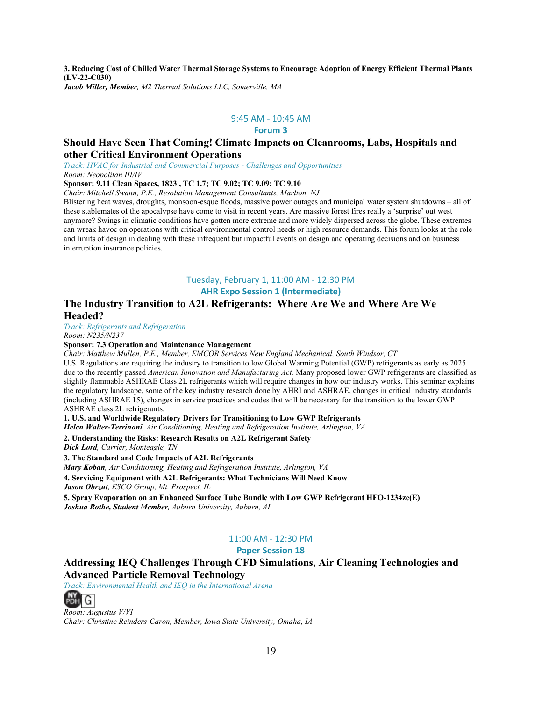**3. Reducing Cost of Chilled Water Thermal Storage Systems to Encourage Adoption of Energy Efficient Thermal Plants (LV-22-C030)** *Jacob Miller, Member, M2 Thermal Solutions LLC, Somerville, MA*

9:45 AM - 10:45 AM

#### **Forum 3**

### **Should Have Seen That Coming! Climate Impacts on Cleanrooms, Labs, Hospitals and other Critical Environment Operations**

*Track: HVAC for Industrial and Commercial Purposes - Challenges and Opportunities Room: Neopolitan III/IV*

#### **Sponsor: 9.11 Clean Spaces, 1823 , TC 1.7; TC 9.02; TC 9.09; TC 9.10**

*Chair: Mitchell Swann, P.E., Resolution Management Consultants, Marlton, NJ*

Blistering heat waves, droughts, monsoon-esque floods, massive power outages and municipal water system shutdowns – all of these stablemates of the apocalypse have come to visit in recent years. Are massive forest fires really a 'surprise' out west anymore? Swings in climatic conditions have gotten more extreme and more widely dispersed across the globe. These extremes can wreak havoc on operations with critical environmental control needs or high resource demands. This forum looks at the role and limits of design in dealing with these infrequent but impactful events on design and operating decisions and on business interruption insurance policies.

### Tuesday, February 1, 11:00 AM - 12:30 PM

### **AHR Expo Session 1 (Intermediate)**

### **The Industry Transition to A2L Refrigerants: Where Are We and Where Are We Headed?**

*Track: Refrigerants and Refrigeration Room: N235/N237*

### **Sponsor: 7.3 Operation and Maintenance Management**

*Chair: Matthew Mullen, P.E., Member, EMCOR Services New England Mechanical, South Windsor, CT*

U.S. Regulations are requiring the industry to transition to low Global Warming Potential (GWP) refrigerants as early as 2025 due to the recently passed *American Innovation and Manufacturing Act.* Many proposed lower GWP refrigerants are classified as slightly flammable ASHRAE Class 2L refrigerants which will require changes in how our industry works. This seminar explains the regulatory landscape, some of the key industry research done by AHRI and ASHRAE, changes in critical industry standards (including ASHRAE 15), changes in service practices and codes that will be necessary for the transition to the lower GWP ASHRAE class 2L refrigerants.

**1. U.S. and Worldwide Regulatory Drivers for Transitioning to Low GWP Refrigerants** 

*Helen Walter-Terrinoni, Air Conditioning, Heating and Refrigeration Institute, Arlington, VA*

**2. Understanding the Risks: Research Results on A2L Refrigerant Safety**

*Dick Lord, Carrier, Monteagle, TN*

**3. The Standard and Code Impacts of A2L Refrigerants**

*Mary Koban, Air Conditioning, Heating and Refrigeration Institute, Arlington, VA*

**4. Servicing Equipment with A2L Refrigerants: What Technicians Will Need Know**

*Jason Obrzut, ESCO Group, Mt. Prospect, IL*

**5. Spray Evaporation on an Enhanced Surface Tube Bundle with Low GWP Refrigerant HFO-1234ze(E)** *Joshua Rothe, Student Member, Auburn University, Auburn, AL*

### 11:00 AM - 12:30 PM

### **Paper Session 18**

### **Addressing IEQ Challenges Through CFD Simulations, Air Cleaning Technologies and Advanced Particle Removal Technology**

*Track: Environmental Health and IEQ in the International Arena*



*Room: Augustus V/VI Chair: Christine Reinders-Caron, Member, Iowa State University, Omaha, IA*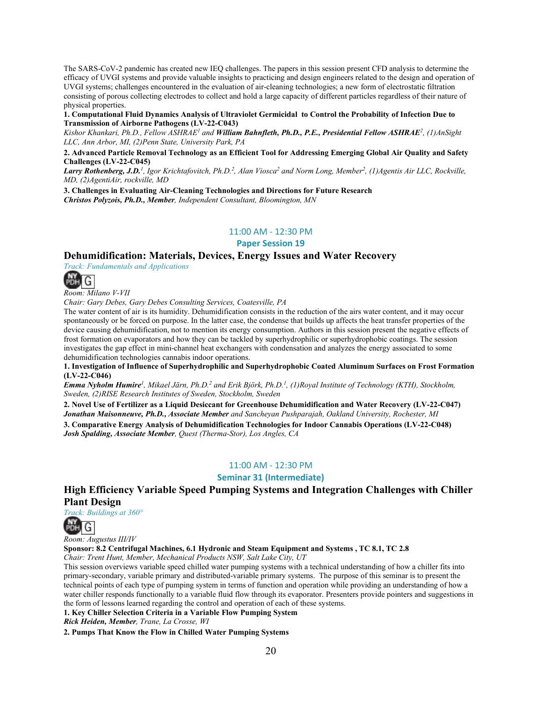The SARS-CoV-2 pandemic has created new IEQ challenges. The papers in this session present CFD analysis to determine the efficacy of UVGI systems and provide valuable insights to practicing and design engineers related to the design and operation of UVGI systems; challenges encountered in the evaluation of air-cleaning technologies; a new form of electrostatic filtration consisting of porous collecting electrodes to collect and hold a large capacity of different particles regardless of their nature of physical properties.

**1. Computational Fluid Dynamics Analysis of Ultraviolet Germicidal to Control the Probability of Infection Due to Transmission of Airborne Pathogens (LV-22-C043)**

*Kishor Khankari, Ph.D., Fellow ASHRAE1 and William Bahnfleth, Ph.D., P.E., Presidential Fellow ASHRAE2, (1)AnSight LLC, Ann Arbor, MI, (2)Penn State, University Park, PA*

**2. Advanced Particle Removal Technology as an Efficient Tool for Addressing Emerging Global Air Quality and Safety Challenges (LV-22-C045)**

Larry Rothenberg, J.D.<sup>1</sup>, Igor Krichtafovitch, Ph.D.<sup>2</sup>, Alan Viosca<sup>2</sup> and Norm Long, Member<sup>2</sup>, (1)Agentis Air LLC, Rockville, *MD, (2)AgentiAir, rockville, MD*

**3. Challenges in Evaluating Air-Cleaning Technologies and Directions for Future Research** *Christos Polyzois, Ph.D., Member, Independent Consultant, Bloomington, MN*

#### 11:00 AM - 12:30 PM

**Paper Session 19** 

### **Dehumidification: Materials, Devices, Energy Issues and Water Recovery**

*Track: Fundamentals and Applications*



*Room: Milano V-VII*

*Chair: Gary Debes, Gary Debes Consulting Services, Coatesville, PA*

The water content of air is its humidity. Dehumidification consists in the reduction of the airs water content, and it may occur spontaneously or be forced on purpose. In the latter case, the condense that builds up affects the heat transfer properties of the device causing dehumidification, not to mention its energy consumption. Authors in this session present the negative effects of frost formation on evaporators and how they can be tackled by superhydrophilic or superhydrophobic coatings. The session investigates the gap effect in mini-channel heat exchangers with condensation and analyzes the energy associated to some dehumidification technologies cannabis indoor operations.

**1. Investigation of Influence of Superhydrophilic and Superhydrophobic Coated Aluminum Surfaces on Frost Formation (LV-22-C046)**

*Emma Nyholm Humire1, Mikael Järn, Ph.D.2 and Erik Björk, Ph.D.1, (1)Royal Institute of Technology (KTH), Stockholm, Sweden, (2)RISE Research Institutes of Sweden, Stockholm, Sweden*

**2. Novel Use of Fertilizer as a Liquid Desiccant for Greenhouse Dehumidification and Water Recovery (LV-22-C047)** *Jonathan Maisonneuve, Ph.D., Associate Member and Sancheyan Pushparajah, Oakland University, Rochester, MI*

**3. Comparative Energy Analysis of Dehumidification Technologies for Indoor Cannabis Operations (LV-22-C048)** *Josh Spalding, Associate Member, Quest (Therma-Stor), Los Angles, CA*

### 11:00 AM - 12:30 PM

**Seminar 31 (Intermediate)**

**High Efficiency Variable Speed Pumping Systems and Integration Challenges with Chiller Plant Design** *Track: Buildings at 360°*



*Room: Augustus III/IV*

**Sponsor: 8.2 Centrifugal Machines, 6.1 Hydronic and Steam Equipment and Systems , TC 8.1, TC 2.8** 

*Chair: Trent Hunt, Member, Mechanical Products NSW, Salt Lake City, UT*

This session overviews variable speed chilled water pumping systems with a technical understanding of how a chiller fits into primary-secondary, variable primary and distributed-variable primary systems. The purpose of this seminar is to present the technical points of each type of pumping system in terms of function and operation while providing an understanding of how a water chiller responds functionally to a variable fluid flow through its evaporator. Presenters provide pointers and suggestions in the form of lessons learned regarding the control and operation of each of these systems.

**1. Key Chiller Selection Criteria in a Variable Flow Pumping System**

*Rick Heiden, Member, Trane, La Crosse, WI*

**2. Pumps That Know the Flow in Chilled Water Pumping Systems**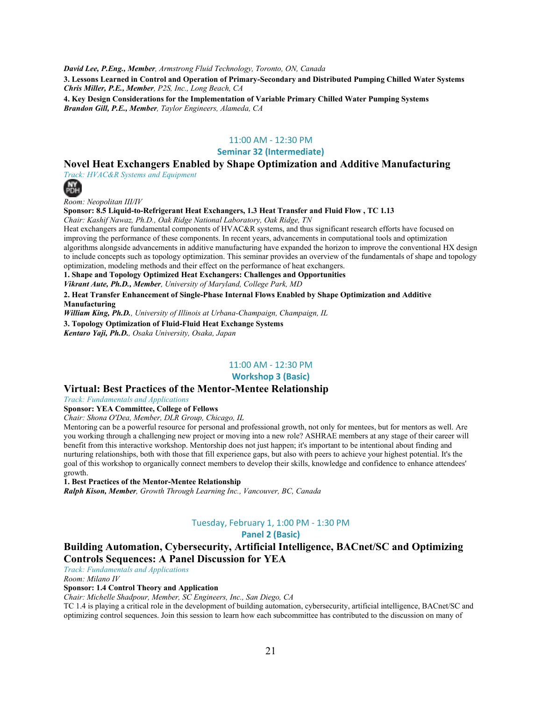*David Lee, P.Eng., Member, Armstrong Fluid Technology, Toronto, ON, Canada*

**3. Lessons Learned in Control and Operation of Primary-Secondary and Distributed Pumping Chilled Water Systems** *Chris Miller, P.E., Member, P2S, Inc., Long Beach, CA* **4. Key Design Considerations for the Implementation of Variable Primary Chilled Water Pumping Systems**

*Brandon Gill, P.E., Member, Taylor Engineers, Alameda, CA*

### 11:00 AM - 12:30 PM

### **Seminar 32 (Intermediate)**

### **Novel Heat Exchangers Enabled by Shape Optimization and Additive Manufacturing**

*Track: HVAC&R Systems and Equipment*



*Room: Neopolitan III/IV*

**Sponsor: 8.5 Liquid-to-Refrigerant Heat Exchangers, 1.3 Heat Transfer and Fluid Flow , TC 1.13**  *Chair: Kashif Nawaz, Ph.D., Oak Ridge National Laboratory, Oak Ridge, TN*

Heat exchangers are fundamental components of HVAC&R systems, and thus significant research efforts have focused on improving the performance of these components. In recent years, advancements in computational tools and optimization algorithms alongside advancements in additive manufacturing have expanded the horizon to improve the conventional HX design to include concepts such as topology optimization. This seminar provides an overview of the fundamentals of shape and topology optimization, modeling methods and their effect on the performance of heat exchangers.

**1. Shape and Topology Optimized Heat Exchangers: Challenges and Opportunities** 

*Vikrant Aute, Ph.D., Member, University of Maryland, College Park, MD*

**2. Heat Transfer Enhancement of Single-Phase Internal Flows Enabled by Shape Optimization and Additive Manufacturing**

*William King, Ph.D., University of Illinois at Urbana-Champaign, Champaign, IL*

**3. Topology Optimization of Fluid-Fluid Heat Exchange Systems**

*Kentaro Yaji, Ph.D., Osaka University, Osaka, Japan*

### 11:00 AM - 12:30 PM

**Workshop 3 (Basic)**

### **Virtual: Best Practices of the Mentor-Mentee Relationship**

*Track: Fundamentals and Applications*

**Sponsor: YEA Committee, College of Fellows** 

*Chair: Shona O'Dea, Member, DLR Group, Chicago, IL*

Mentoring can be a powerful resource for personal and professional growth, not only for mentees, but for mentors as well. Are you working through a challenging new project or moving into a new role? ASHRAE members at any stage of their career will benefit from this interactive workshop. Mentorship does not just happen; it's important to be intentional about finding and nurturing relationships, both with those that fill experience gaps, but also with peers to achieve your highest potential. It's the goal of this workshop to organically connect members to develop their skills, knowledge and confidence to enhance attendees' growth.

**1. Best Practices of the Mentor-Mentee Relationship**

*Ralph Kison, Member, Growth Through Learning Inc., Vancouver, BC, Canada*

### Tuesday, February 1, 1:00 PM - 1:30 PM

**Panel 2 (Basic)**

### **Building Automation, Cybersecurity, Artificial Intelligence, BACnet/SC and Optimizing Controls Sequences: A Panel Discussion for YEA**

*Track: Fundamentals and Applications*

*Room: Milano IV*

### **Sponsor: 1.4 Control Theory and Application**

*Chair: Michelle Shadpour, Member, SC Engineers, Inc., San Diego, CA*

TC 1.4 is playing a critical role in the development of building automation, cybersecurity, artificial intelligence, BACnet/SC and optimizing control sequences. Join this session to learn how each subcommittee has contributed to the discussion on many of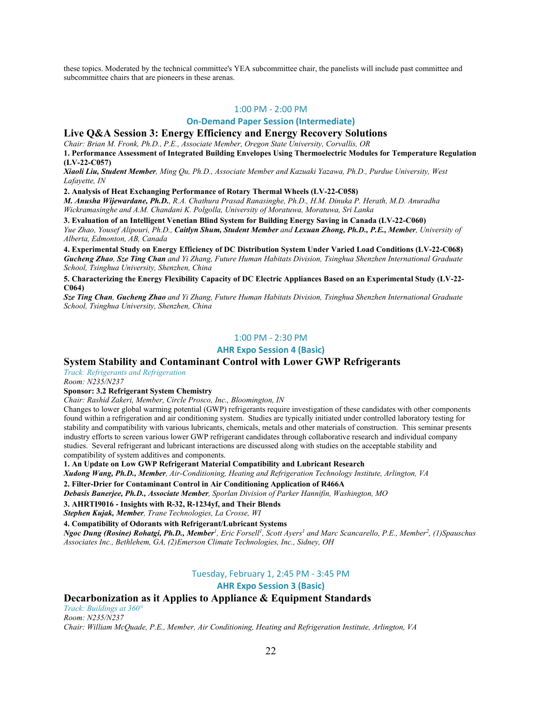these topics. Moderated by the technical committee's YEA subcommittee chair, the panelists will include past committee and subcommittee chairs that are pioneers in these arenas.

#### 1:00 PM - 2:00 PM

#### **On-Demand Paper Session (Intermediate)**

### **Live Q&A Session 3: Energy Efficiency and Energy Recovery Solutions**

*Chair: Brian M. Fronk, Ph.D., P.E., Associate Member, Oregon State University, Corvallis, OR*

**1. Performance Assessment of Integrated Building Envelopes Using Thermoelectric Modules for Temperature Regulation (LV-22-C057)**

*Xiaoli Liu, Student Member, Ming Qu, Ph.D., Associate Member and Kazuaki Yazawa, Ph.D., Purdue University, West Lafayette, IN*

**2. Analysis of Heat Exchanging Performance of Rotary Thermal Wheels (LV-22-C058)**

*M. Anusha Wijewardane, Ph.D., R.A. Chathura Prasad Ranasinghe, Ph.D., H.M. Dinuka P. Herath, M.D. Anuradha Wickramasinghe and A.M. Chandani K. Polgolla, University of Moratuwa, Moratuwa, Sri Lanka*

**3. Evaluation of an Intelligent Venetian Blind System for Building Energy Saving in Canada (LV-22-C060)** *Yue Zhao, Yousef Alipouri, Ph.D., Caitlyn Shum, Student Member and Lexuan Zhong, Ph.D., P.E., Member, University of Alberta, Edmonton, AB, Canada*

**4. Experimental Study on Energy Efficiency of DC Distribution System Under Varied Load Conditions (LV-22-C068)** *Gucheng Zhao, Sze Ting Chan and Yi Zhang, Future Human Habitats Division, Tsinghua Shenzhen International Graduate School, Tsinghua University, Shenzhen, China*

**5. Characterizing the Energy Flexibility Capacity of DC Electric Appliances Based on an Experimental Study (LV-22- C064)**

*Sze Ting Chan, Gucheng Zhao and Yi Zhang, Future Human Habitats Division, Tsinghua Shenzhen International Graduate School, Tsinghua University, Shenzhen, China*

#### 1:00 PM - 2:30 PM

#### **AHR Expo Session 4 (Basic)**

### **System Stability and Contaminant Control with Lower GWP Refrigerants**

*Track: Refrigerants and Refrigeration*

*Room: N235/N237*

### **Sponsor: 3.2 Refrigerant System Chemistry**

*Chair: Rashid Zakeri, Member, Circle Prosco, Inc., Bloomington, IN*

Changes to lower global warming potential (GWP) refrigerants require investigation of these candidates with other components found within a refrigeration and air conditioning system. Studies are typically initiated under controlled laboratory testing for stability and compatibility with various lubricants, chemicals, metals and other materials of construction. This seminar presents industry efforts to screen various lower GWP refrigerant candidates through collaborative research and individual company studies. Several refrigerant and lubricant interactions are discussed along with studies on the acceptable stability and compatibility of system additives and components.

**1. An Update on Low GWP Refrigerant Material Compatibility and Lubricant Research**

*Xudong Wang, Ph.D., Member, Air-Conditioning, Heating and Refrigeration Technology Institute, Arlington, VA*

**2. Filter-Drier for Contaminant Control in Air Conditioning Application of R466A**

*Debasis Banerjee, Ph.D., Associate Member, Sporlan Division of Parker Hannifin, Washington, MO*

### **3. AHRTI9016 - Insights with R-32, R-1234yf, and Their Blends**

*Stephen Kujak, Member, Trane Technologies, La Crosse, WI*

**4. Compatibility of Odorants with Refrigerant/Lubricant Systems**

*Ngoc Dung (Rosine) Rohatgi, Ph.D., Member<sup>1</sup> , Eric Forsell1 , Scott Ayers1 and Marc Scancarello, P.E., Member2 , (1)Spauschus Associates Inc., Bethlehem, GA, (2)Emerson Climate Technologies, Inc., Sidney, OH*

### Tuesday, February 1, 2:45 PM - 3:45 PM

**AHR Expo Session 3 (Basic)**

### **Decarbonization as it Applies to Appliance & Equipment Standards**

*Track: Buildings at 360° Room: N235/N237 Chair: William McQuade, P.E., Member, Air Conditioning, Heating and Refrigeration Institute, Arlington, VA*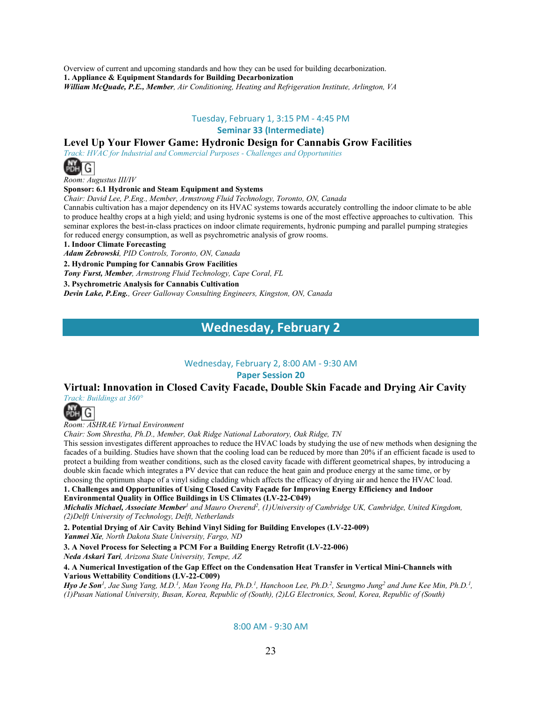Overview of current and upcoming standards and how they can be used for building decarbonization. **1. Appliance & Equipment Standards for Building Decarbonization**  *William McQuade, P.E., Member, Air Conditioning, Heating and Refrigeration Institute, Arlington, VA*

### Tuesday, February 1, 3:15 PM - 4:45 PM

**Seminar 33 (Intermediate)**

### **Level Up Your Flower Game: Hydronic Design for Cannabis Grow Facilities**

*Track: HVAC for Industrial and Commercial Purposes - Challenges and Opportunities*



*Room: Augustus III/IV*

### **Sponsor: 6.1 Hydronic and Steam Equipment and Systems**

*Chair: David Lee, P.Eng., Member, Armstrong Fluid Technology, Toronto, ON, Canada*

Cannabis cultivation has a major dependency on its HVAC systems towards accurately controlling the indoor climate to be able to produce healthy crops at a high yield; and using hydronic systems is one of the most effective approaches to cultivation. This seminar explores the best-in-class practices on indoor climate requirements, hydronic pumping and parallel pumping strategies for reduced energy consumption, as well as psychrometric analysis of grow rooms.

**1. Indoor Climate Forecasting**

*Adam Zebrowski, PID Controls, Toronto, ON, Canada*

**2. Hydronic Pumping for Cannabis Grow Facilities**

*Tony Furst, Member, Armstrong Fluid Technology, Cape Coral, FL*

**3. Psychrometric Analysis for Cannabis Cultivation**

*Devin Lake, P.Eng., Greer Galloway Consulting Engineers, Kingston, ON, Canada*

### **Wednesday, February 2**

### Wednesday, February 2, 8:00 AM - 9:30 AM

### **Paper Session 20**

### **Virtual: Innovation in Closed Cavity Facade, Double Skin Facade and Drying Air Cavity** *Track: Buildings at 360°*



*Room: ASHRAE Virtual Environment*

*Chair: Som Shrestha, Ph.D., Member, Oak Ridge National Laboratory, Oak Ridge, TN*

This session investigates different approaches to reduce the HVAC loads by studying the use of new methods when designing the facades of a building. Studies have shown that the cooling load can be reduced by more than 20% if an efficient facade is used to protect a building from weather conditions, such as the closed cavity facade with different geometrical shapes, by introducing a double skin facade which integrates a PV device that can reduce the heat gain and produce energy at the same time, or by choosing the optimum shape of a vinyl siding cladding which affects the efficacy of drying air and hence the HVAC load. **1. Challenges and Opportunities of Using Closed Cavity Façade for Improving Energy Efficiency and Indoor** 

**Environmental Quality in Office Buildings in US Climates (LV-22-C049)**

*Michalis Michael, Associate Member<sup>1</sup> and Mauro Overend2, (1)University of Cambridge UK, Cambridge, United Kingdom, (2)Delft University of Technology, Delft, Netherlands*

**2. Potential Drying of Air Cavity Behind Vinyl Siding for Building Envelopes (LV-22-009)**

*Yanmei Xie, North Dakota State University, Fargo, ND*

**3. A Novel Process for Selecting a PCM For a Building Energy Retrofit (LV-22-006)** *Neda Askari Tari, Arizona State University, Tempe, AZ*

**4. A Numerical Investigation of the Gap Effect on the Condensation Heat Transfer in Vertical Mini-Channels with Various Wettability Conditions (LV-22-C009)**

*Hyo Je Son1, Jae Sung Yang, M.D.1, Man Yeong Ha, Ph.D.1, Hanchoon Lee, Ph.D.2, Seungmo Jung2 and June Kee Min, Ph.D.1 , (1)Pusan National University, Busan, Korea, Republic of (South), (2)LG Electronics, Seoul, Korea, Republic of (South)*

8:00 AM - 9:30 AM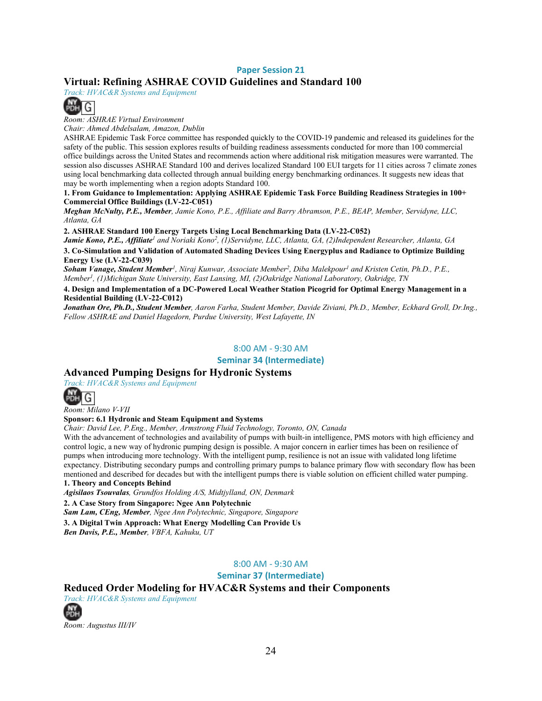### **Paper Session 21**

### **Virtual: Refining ASHRAE COVID Guidelines and Standard 100**

*Track: HVAC&R Systems and Equipment*



*Room: ASHRAE Virtual Environment*

*Chair: Ahmed Abdelsalam, Amazon, Dublin*

ASHRAE Epidemic Task Force committee has responded quickly to the COVID-19 pandemic and released its guidelines for the safety of the public. This session explores results of building readiness assessments conducted for more than 100 commercial office buildings across the United States and recommends action where additional risk mitigation measures were warranted. The session also discusses ASHRAE Standard 100 and derives localized Standard 100 EUI targets for 11 cities across 7 climate zones using local benchmarking data collected through annual building energy benchmarking ordinances. It suggests new ideas that may be worth implementing when a region adopts Standard 100.

**1. From Guidance to Implementation: Applying ASHRAE Epidemic Task Force Building Readiness Strategies in 100+ Commercial Office Buildings (LV-22-C051)**

*Meghan McNulty, P.E., Member, Jamie Kono, P.E., Affiliate and Barry Abramson, P.E., BEAP, Member, Servidyne, LLC, Atlanta, GA*

**2. ASHRAE Standard 100 Energy Targets Using Local Benchmarking Data (LV-22-C052)**

*Jamie Kono, P.E., Affiliate<sup>1</sup> and Noriaki Kono2, (1)Servidyne, LLC, Atlanta, GA, (2)Independent Researcher, Atlanta, GA* **3. Co-Simulation and Validation of Automated Shading Devices Using Energyplus and Radiance to Optimize Building Energy Use (LV-22-C039)**

*Soham Vanage, Student Member1, Niraj Kunwar, Associate Member2, Diba Malekpour1 and Kristen Cetin, Ph.D., P.E., Member1, (1)Michigan State University, East Lansing, MI, (2)Oakridge National Laboratory, Oakridge, TN*

**4. Design and Implementation of a DC-Powered Local Weather Station Picogrid for Optimal Energy Management in a Residential Building (LV-22-C012)**

*Jonathan Ore, Ph.D., Student Member, Aaron Farha, Student Member, Davide Ziviani, Ph.D., Member, Eckhard Groll, Dr.Ing., Fellow ASHRAE and Daniel Hagedorn, Purdue University, West Lafayette, IN*

#### 8:00 AM - 9:30 AM

**Seminar 34 (Intermediate)**

### **Advanced Pumping Designs for Hydronic Systems**

*Track: HVAC&R Systems and Equipment*



*Room: Milano V-VII*

### **Sponsor: 6.1 Hydronic and Steam Equipment and Systems**

*Chair: David Lee, P.Eng., Member, Armstrong Fluid Technology, Toronto, ON, Canada*

With the advancement of technologies and availability of pumps with built-in intelligence, PMS motors with high efficiency and control logic, a new way of hydronic pumping design is possible. A major concern in earlier times has been on resilience of pumps when introducing more technology. With the intelligent pump, resilience is not an issue with validated long lifetime expectancy. Distributing secondary pumps and controlling primary pumps to balance primary flow with secondary flow has been mentioned and described for decades but with the intelligent pumps there is viable solution on efficient chilled water pumping. **1. Theory and Concepts Behind**

*Agisilaos Tsouvalas, Grundfos Holding A/S, Midtjylland, ON, Denmark*

**2. A Case Story from Singapore: Ngee Ann Polytechnic**

*Sam Lam, CEng, Member, Ngee Ann Polytechnic, Singapore, Singapore*

**3. A Digital Twin Approach: What Energy Modelling Can Provide Us** 

*Ben Davis, P.E., Member, VBFA, Kahuku, UT*

### 8:00 AM - 9:30 AM

**Seminar 37 (Intermediate)**

### **Reduced Order Modeling for HVAC&R Systems and their Components**

*Track: HVAC&R Systems and Equipment* **PDH** 

*Room: Augustus III/IV*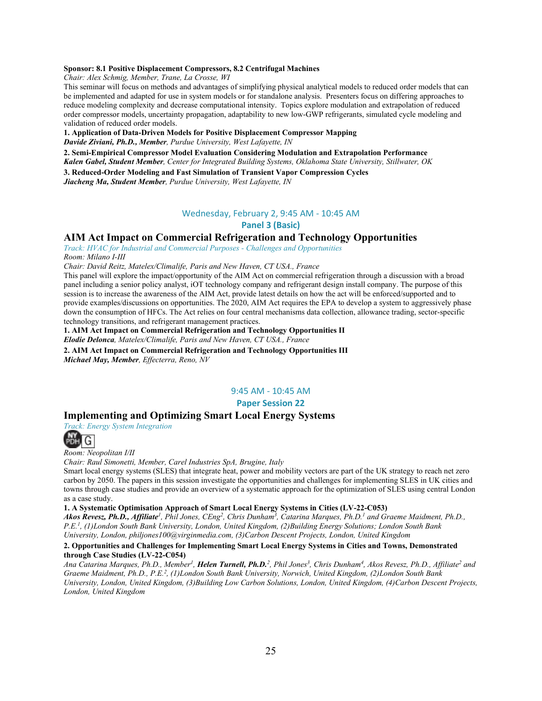#### **Sponsor: 8.1 Positive Displacement Compressors, 8.2 Centrifugal Machines**

*Chair: Alex Schmig, Member, Trane, La Crosse, WI*

This seminar will focus on methods and advantages of simplifying physical analytical models to reduced order models that can be implemented and adapted for use in system models or for standalone analysis. Presenters focus on differing approaches to reduce modeling complexity and decrease computational intensity. Topics explore modulation and extrapolation of reduced order compressor models, uncertainty propagation, adaptability to new low-GWP refrigerants, simulated cycle modeling and validation of reduced order models.

**1. Application of Data-Driven Models for Positive Displacement Compressor Mapping**

*Davide Ziviani, Ph.D., Member, Purdue University, West Lafayette, IN*

**2. Semi-Empirical Compressor Model Evaluation Considering Modulation and Extrapolation Performance**

*Kalen Gabel, Student Member, Center for Integrated Building Systems, Oklahoma State University, Stillwater, OK*

**3. Reduced-Order Modeling and Fast Simulation of Transient Vapor Compression Cycles**

*Jiacheng Ma, Student Member, Purdue University, West Lafayette, IN*

### Wednesday, February 2, 9:45 AM - 10:45 AM

### **Panel 3 (Basic)**

### **AIM Act Impact on Commercial Refrigeration and Technology Opportunities**

*Track: HVAC for Industrial and Commercial Purposes - Challenges and Opportunities Room: Milano I-III*

*Chair: David Reitz, Matelex/Climalife, Paris and New Haven, CT USA., France*

This panel will explore the impact/opportunity of the AIM Act on commercial refrigeration through a discussion with a broad panel including a senior policy analyst, iOT technology company and refrigerant design install company. The purpose of this session is to increase the awareness of the AIM Act, provide latest details on how the act will be enforced/supported and to provide examples/discussions on opportunities. The 2020, AIM Act requires the EPA to develop a system to aggressively phase down the consumption of HFCs. The Act relies on four central mechanisms data collection, allowance trading, sector-specific technology transitions, and refrigerant management practices.

**1. AIM Act Impact on Commercial Refrigeration and Technology Opportunities II** *Elodie Delonca, Matelex/Climalife, Paris and New Haven, CT USA., France*

**2. AIM Act Impact on Commercial Refrigeration and Technology Opportunities III** *Michael May, Member, Effecterra, Reno, NV*

9:45 AM - 10:45 AM

**Paper Session 22** 

### **Implementing and Optimizing Smart Local Energy Systems**

*Track: Energy System Integration*



*Room: Neopolitan I/II*

*Chair: Raul Simonetti, Member, Carel Industries SpA, Brugine, Italy*

Smart local energy systems (SLES) that integrate heat, power and mobility vectors are part of the UK strategy to reach net zero carbon by 2050. The papers in this session investigate the opportunities and challenges for implementing SLES in UK cities and towns through case studies and provide an overview of a systematic approach for the optimization of SLES using central London as a case study.

**1. A Systematic Optimisation Approach of Smart Local Energy Systems in Cities (LV-22-C053)**

*Akos Revesz, Ph.D., Affiliate1, Phil Jones, CEng2, Chris Dunham3 , Catarina Marques, Ph.D.1 and Graeme Maidment, Ph.D., P.E.1, (1)London South Bank University, London, United Kingdom, (2)Building Energy Solutions; London South Bank University, London, philjones100@virginmedia.com, (3)Carbon Descent Projects, London, United Kingdom*

#### **2. Opportunities and Challenges for Implementing Smart Local Energy Systems in Cities and Towns, Demonstrated through Case Studies (LV-22-C054)**

*Ana Catarina Marques, Ph.D., Member1, Helen Turnell, Ph.D.2, Phil Jones3, Chris Dunham4, Akos Revesz, Ph.D., Affiliate2 and Graeme Maidment, Ph.D., P.E.2 , (1)London South Bank University, Norwich, United Kingdom, (2)London South Bank University, London, United Kingdom, (3)Building Low Carbon Solutions, London, United Kingdom, (4)Carbon Descent Projects, London, United Kingdom*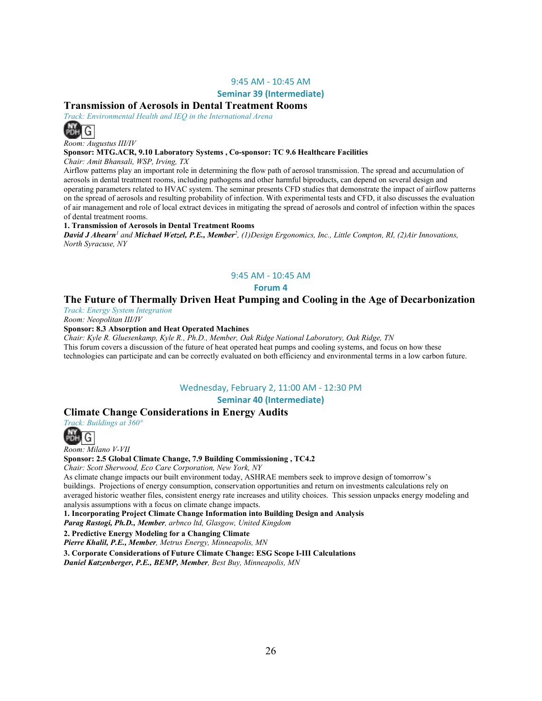### 9:45 AM - 10:45 AM

#### **Seminar 39 (Intermediate)**

### **Transmission of Aerosols in Dental Treatment Rooms**

*Track: Environmental Health and IEQ in the International Arena*



*Room: Augustus III/IV*

#### **Sponsor: MTG.ACR, 9.10 Laboratory Systems , Co-sponsor: TC 9.6 Healthcare Facilities**

*Chair: Amit Bhansali, WSP, Irving, TX*

Airflow patterns play an important role in determining the flow path of aerosol transmission. The spread and accumulation of aerosols in dental treatment rooms, including pathogens and other harmful biproducts, can depend on several design and operating parameters related to HVAC system. The seminar presents CFD studies that demonstrate the impact of airflow patterns on the spread of aerosols and resulting probability of infection. With experimental tests and CFD, it also discusses the evaluation of air management and role of local extract devices in mitigating the spread of aerosols and control of infection within the spaces of dental treatment rooms.

#### **1. Transmission of Aerosols in Dental Treatment Rooms**

*David J Ahearn<sup>1</sup> and Michael Wetzel, P.E., Member2, (1)Design Ergonomics, Inc., Little Compton, RI, (2)Air Innovations, North Syracuse, NY*

#### 9:45 AM - 10:45 AM

**Forum 4** 

### **The Future of Thermally Driven Heat Pumping and Cooling in the Age of Decarbonization**

*Track: Energy System Integration*

*Room: Neopolitan III/IV*

#### **Sponsor: 8.3 Absorption and Heat Operated Machines**

*Chair: Kyle R. Gluesenkamp, Kyle R., Ph.D., Member, Oak Ridge National Laboratory, Oak Ridge, TN* This forum covers a discussion of the future of heat operated heat pumps and cooling systems, and focus on how these technologies can participate and can be correctly evaluated on both efficiency and environmental terms in a low carbon future.

### Wednesday, February 2, 11:00 AM - 12:30 PM

**Seminar 40 (Intermediate)**

### **Climate Change Considerations in Energy Audits**

*Track: Buildings at 360°*

G

*Room: Milano V-VII*

#### **Sponsor: 2.5 Global Climate Change, 7.9 Building Commissioning , TC4.2**

*Chair: Scott Sherwood, Eco Care Corporation, New York, NY*

As climate change impacts our built environment today, ASHRAE members seek to improve design of tomorrow's buildings. Projections of energy consumption, conservation opportunities and return on investments calculations rely on averaged historic weather files, consistent energy rate increases and utility choices. This session unpacks energy modeling and analysis assumptions with a focus on climate change impacts.

**1. Incorporating Project Climate Change Information into Building Design and Analysis**  *Parag Rastogi, Ph.D., Member, arbnco ltd, Glasgow, United Kingdom*

**2. Predictive Energy Modeling for a Changing Climate**

*Pierre Khalil, P.E., Member, Metrus Energy, Minneapolis, MN*

**3. Corporate Considerations of Future Climate Change: ESG Scope I-III Calculations** *Daniel Katzenberger, P.E., BEMP, Member, Best Buy, Minneapolis, MN*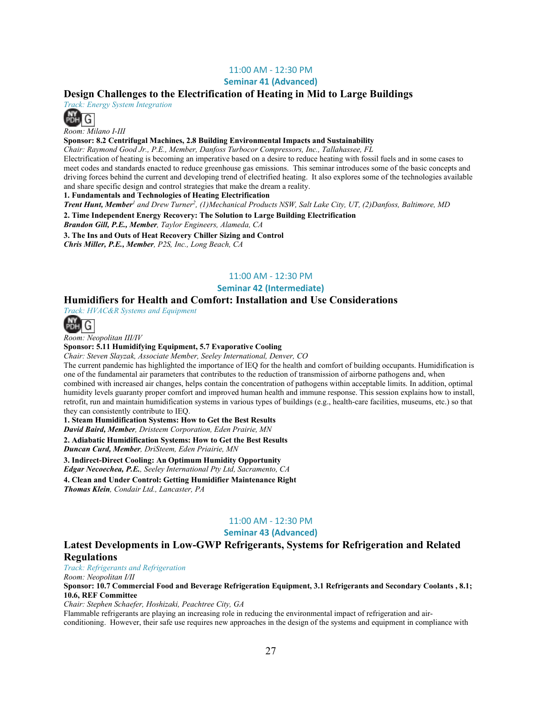### 11:00 AM - 12:30 PM

**Seminar 41 (Advanced)**

### **Design Challenges to the Electrification of Heating in Mid to Large Buildings**

*Track: Energy System Integration*



*Room: Milano I-III*

**Sponsor: 8.2 Centrifugal Machines, 2.8 Building Environmental Impacts and Sustainability** 

*Chair: Raymond Good Jr., P.E., Member, Danfoss Turbocor Compressors, Inc., Tallahassee, FL*

Electrification of heating is becoming an imperative based on a desire to reduce heating with fossil fuels and in some cases to meet codes and standards enacted to reduce greenhouse gas emissions. This seminar introduces some of the basic concepts and driving forces behind the current and developing trend of electrified heating. It also explores some of the technologies available and share specific design and control strategies that make the dream a reality.

**1. Fundamentals and Technologies of Heating Electrification**

*Trent Hunt, Member<sup>1</sup> and Drew Turner2, (1)Mechanical Products NSW, Salt Lake City, UT, (2)Danfoss, Baltimore, MD*

**2. Time Independent Energy Recovery: The Solution to Large Building Electrification**

*Brandon Gill, P.E., Member, Taylor Engineers, Alameda, CA*

**3. The Ins and Outs of Heat Recovery Chiller Sizing and Control**

*Chris Miller, P.E., Member, P2S, Inc., Long Beach, CA*

### 11:00 AM - 12:30 PM

### **Seminar 42 (Intermediate)**

### **Humidifiers for Health and Comfort: Installation and Use Considerations**

*Track: HVAC&R Systems and Equipment*



*Room: Neopolitan III/IV*

**Sponsor: 5.11 Humidifying Equipment, 5.7 Evaporative Cooling** 

*Chair: Steven Slayzak, Associate Member, Seeley International, Denver, CO*

The current pandemic has highlighted the importance of IEQ for the health and comfort of building occupants. Humidification is one of the fundamental air parameters that contributes to the reduction of transmission of airborne pathogens and, when combined with increased air changes, helps contain the concentration of pathogens within acceptable limits. In addition, optimal humidity levels guaranty proper comfort and improved human health and immune response. This session explains how to install, retrofit, run and maintain humidification systems in various types of buildings (e.g., health-care facilities, museums, etc.) so that they can consistently contribute to IEQ.

**1. Steam Humidification Systems: How to Get the Best Results**

*David Baird, Member, Dristeem Corporation, Eden Prairie, MN*

**2. Adiabatic Humidification Systems: How to Get the Best Results**

*Duncan Curd, Member, DriSteem, Eden Priairie, MN*

**3. Indirect-Direct Cooling: An Optimum Humidity Opportunity**

*Edgar Necoechea, P.E., Seeley International Pty Ltd, Sacramento, CA*

**4. Clean and Under Control: Getting Humidifier Maintenance Right** *Thomas Klein, Condair Ltd., Lancaster, PA*

### 11:00 AM - 12:30 PM

### **Seminar 43 (Advanced)**

### **Latest Developments in Low-GWP Refrigerants, Systems for Refrigeration and Related Regulations**

*Track: Refrigerants and Refrigeration Room: Neopolitan I/II*

**Sponsor: 10.7 Commercial Food and Beverage Refrigeration Equipment, 3.1 Refrigerants and Secondary Coolants , 8.1; 10.6, REF Committee** 

*Chair: Stephen Schaefer, Hoshizaki, Peachtree City, GA*

Flammable refrigerants are playing an increasing role in reducing the environmental impact of refrigeration and air-

conditioning. However, their safe use requires new approaches in the design of the systems and equipment in compliance with